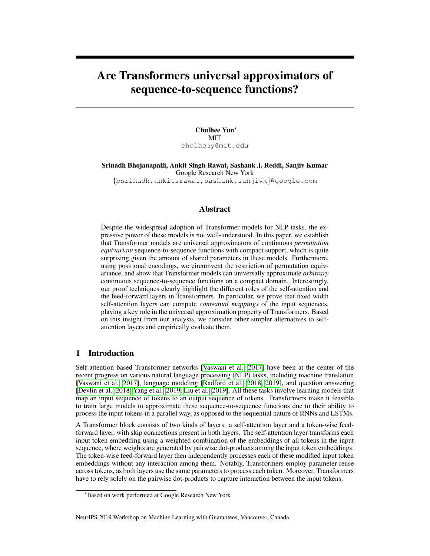# Are Transformers universal approximators of sequence-to-sequence functions?

Chulhee Yun<sup>∗</sup> **MIT** chulheey@mit.edu

Srinadh Bhojanapalli, Ankit Singh Rawat, Sashank J. Reddi, Sanjiv Kumar Google Research New York {bsrinadh,ankitsrawat,sashank,sanjivk}@google.com

## Abstract

Despite the widespread adoption of Transformer models for NLP tasks, the expressive power of these models is not well-understood. In this paper, we establish that Transformer models are universal approximators of continuous *permutation equivariant* sequence-to-sequence functions with compact support, which is quite surprising given the amount of shared parameters in these models. Furthermore, using positional encodings, we circumvent the restriction of permutation equivariance, and show that Transformer models can universally approximate *arbitrary* continuous sequence-to-sequence functions on a compact domain. Interestingly, our proof techniques clearly highlight the different roles of the self-attention and the feed-forward layers in Transformers. In particular, we prove that fixed width self-attention layers can compute *contextual mappings* of the input sequences, playing a key role in the universal approximation property of Transformers. Based on this insight from our analysis, we consider other simpler alternatives to selfattention layers and empirically evaluate them.

# 1 Introduction

Self-attention based Transformer networks [\[Vaswani et al., 2017\]](#page-5-0) have been at the center of the recent progress on various natural language processing (NLP) tasks, including machine translation [\[Vaswani et al., 2017\]](#page-5-0), language modeling [\[Radford et al., 2018,](#page-5-1) [2019\]](#page-5-2), and question answering [\[Devlin et al., 2018,](#page-4-0) [Yang et al., 2019,](#page-5-3) [Liu et al., 2019\]](#page-4-1). All these tasks involve learning models that map an input sequence of tokens to an output sequence of tokens. Transformers make it feasible to train large models to approximate these sequence-to-sequence functions due to their ability to process the input tokens in a parallel way, as opposed to the sequential nature of RNNs and LSTMs.

A Transformer block consists of two kinds of layers: a self-attention layer and a token-wise feedforward layer, with skip connections present in both layers. The self-attention layer transforms each input token embedding using a weighted combination of the embeddings of all tokens in the input sequence, where weights are generated by pairwise dot-products among the input token embeddings. The token-wise feed-forward layer then independently processes each of these modified input token embeddings without any interaction among them. Notably, Transformers employ parameter reuse across tokens, as both layers use the same parameters to process each token. Moreover, Transformers have to rely solely on the pairwise dot-products to capture interaction between the input tokens.

#### NeurIPS 2019 Workshop on Machine Learning with Guarantees, Vancouver, Canada.

<sup>∗</sup>Based on work performed at Google Research New York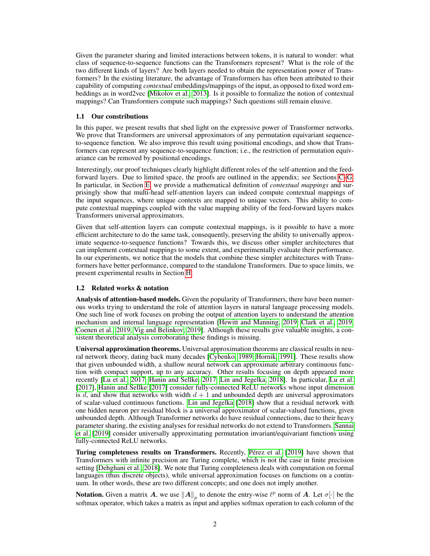Given the parameter sharing and limited interactions between tokens, it is natural to wonder: what class of sequence-to-sequence functions can the Transformers represent? What is the role of the two different kinds of layers? Are both layers needed to obtain the representation power of Transformers? In the existing literature, the advantage of Transformers has often been attributed to their capability of computing *contextual* embeddings/mappings of the input, as opposed to fixed word embeddings as in word2vec [\[Mikolov et al., 2013\]](#page-4-2). Is it possible to formalize the notion of contextual mappings? Can Transformers compute such mappings? Such questions still remain elusive.

## 1.1 Our constributions

In this paper, we present results that shed light on the expressive power of Transformer networks. We prove that Transformers are universal approximators of any permutation equivariant sequenceto-sequence function. We also improve this result using positional encodings, and show that Transformers can represent any sequence-to-sequence function; i.e., the restriction of permutation equivariance can be removed by positional encodings.

Interestingly, our proof techniques clearly highlight different roles of the self-attention and the feedforward layers. Due to limited space, the proofs are outlined in the appendix; see Sections [C](#page-6-0)[–G.](#page-17-0) In particular, in Section [E,](#page-7-0) we provide a mathematical definition of *contextual mappings* and surprisingly show that multi-head self-attention layers can indeed compute contextual mappings of the input sequences, where unique contexts are mapped to unique vectors. This ability to compute contextual mappings coupled with the value mapping ability of the feed-forward layers makes Transformers universal approximators.

Given that self-attention layers can compute contextual mappings, is it possible to have a more efficient architecture to do the same task, consequently, preserving the ability to universally approximate sequence-to-sequence functions? Towards this, we discuss other simpler architectures that can implement contextual mappings to some extent, and experimentally evaluate their performance. In our experiments, we notice that the models that combine these simpler architectures with Transformers have better performance, compared to the standalone Transformers. Due to space limits, we present experimental results in Section [H.](#page-18-0)

#### 1.2 Related works & notation

Analysis of attention-based models. Given the popularity of Transformers, there have been numerous works trying to understand the role of attention layers in natural language processing models. One such line of work focuses on probing the output of attention layers to understand the attention mechanism and internal language representation [\[Hewitt and Manning, 2019,](#page-4-3) [Clark et al., 2019,](#page-4-4) [Coenen et al., 2019,](#page-4-5) [Vig and Belinkov, 2019\]](#page-5-4). Although these results give valuable insights, a consistent theoretical analysis corroborating these findings is missing.

Universal approximation theorems. Universal approximation theorems are classical results in neural network theory, dating back many decades [\[Cybenko, 1989,](#page-4-6) [Hornik, 1991\]](#page-4-7). These results show that given unbounded width, a shallow neural network can approximate arbitrary continuous function with compact support, up to any accuracy. Other results focusing on depth appeared more recently [\[Lu et al., 2017,](#page-4-8) [Hanin and Sellke, 2017,](#page-4-9) [Lin and Jegelka, 2018\]](#page-4-10). In particular, [Lu et al.](#page-4-8) [\[2017\]](#page-4-8), [Hanin and Sellke](#page-4-9) [\[2017\]](#page-4-9) consider fully-connected ReLU networks whose input dimension is d, and show that networks with width  $d + 1$  and unbounded depth are universal approximators of scalar-valued continuous functions. [Lin and Jegelka](#page-4-10) [\[2018\]](#page-4-10) show that a residual network with one hidden neuron per residual block is a universal approximator of scalar-valued functions, given unbounded depth. Although Transformer networks do have residual connections, due to their heavy parameter sharing, the existing analyses for residual networks do not extend to Transformers. [Sannai](#page-5-5) [et al.](#page-5-5) [\[2019\]](#page-5-5) consider universally approximating permutation invariant/equivariant functions using fully-connected ReLU networks.

Turing completeness results on Transformers. Recently, Pérez et al. [\[2019\]](#page-4-11) have shown that Transformers with infinite precision are Turing complete, which is not the case in finite precision setting [\[Dehghani et al., 2018\]](#page-4-12). We note that Turing completeness deals with computation on formal languages (thus discrete objects), while universal approximation focuses on functions on a continuum. In other words, these are two different concepts; and one does not imply another.

**Notation.** Given a matrix A, we use  $||A||_p$  to denote the entry-wise  $\ell^p$  norm of A. Let  $\sigma[\cdot]$  be the softmax operator, which takes a matrix as input and applies softmax operation to each column of the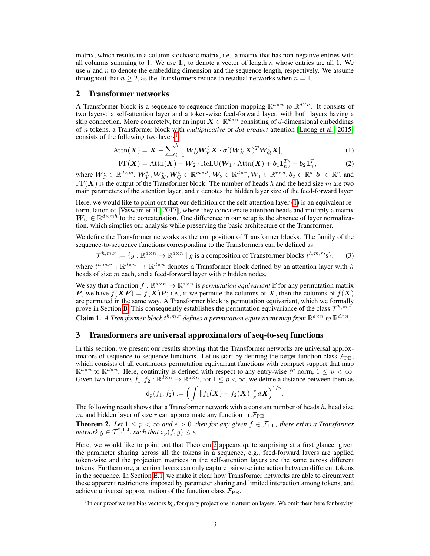matrix, which results in a column stochastic matrix, i.e., a matrix that has non-negative entries with all columns summing to 1. We use  $1_n$  to denote a vector of length n whose entries are all 1. We use  $d$  and  $n$  to denote the embedding dimension and the sequence length, respectively. We assume throughout that  $n \geq 2$ , as the Transformers reduce to residual networks when  $n = 1$ .

## 2 Transformer networks

A Transformer block is a sequence-to-sequence function mapping  $\mathbb{R}^{d \times n}$  to  $\mathbb{R}^{d \times n}$ . It consists of two layers: a self-attention layer and a token-wise feed-forward layer, with both layers having a skip connection. More concretely, for an input  $X \in \mathbb{R}^{d \times n}$  consisting of d-dimensional embeddings of n tokens, a Transformer block with *multiplicative* or *dot-product* attention [\[Luong et al., 2015\]](#page-4-13) consists of the following two layers<sup>[1](#page-2-0)</sup>:

$$
\text{Attn}(\boldsymbol{X}) = \boldsymbol{X} + \sum_{i=1}^{h} \boldsymbol{W}_{O}^{i} \boldsymbol{W}_{V}^{i} \boldsymbol{X} \cdot \sigma[(\boldsymbol{W}_{K}^{i} \boldsymbol{X})^{T} \boldsymbol{W}_{Q}^{i} \boldsymbol{X}],
$$
\n(1)

<span id="page-2-1"></span>
$$
FF(\boldsymbol{X}) = \text{Attn}(\boldsymbol{X}) + \boldsymbol{W}_2 \cdot \text{ReLU}(\boldsymbol{W}_1 \cdot \text{Attn}(\boldsymbol{X}) + \boldsymbol{b}_1 \boldsymbol{1}_n^T) + \boldsymbol{b}_2 \boldsymbol{1}_n^T, \tag{2}
$$

where  $\bm{W}_O^i \in \mathbb{R}^{d \times m}$ ,  $\bm{W}_V^i, \bm{W}_K^i, \bm{W}_Q^i \in \mathbb{R}^{m \times d}$ ,  $\bm{W}_2 \in \mathbb{R}^{d \times r}$ ,  $\bm{W}_1 \in \mathbb{R}^{r \times d}$ ,  $\bm{b}_2 \in \mathbb{R}^d$ ,  $\bm{b}_1 \in \mathbb{R}^r$ , and  $FF(X)$  is the output of the Transformer block. The number of heads h and the head size m are two main parameters of the attention layer; and  $r$  denotes the hidden layer size of the feed-forward layer.

Here, we would like to point out that our definition of the self-attention layer [\(1\)](#page-2-1) is an equivalent reformulation of [\[Vaswani et al., 2017\]](#page-5-0), where they concatenate attention heads and multiply a matrix  $W_O \in \mathbb{R}^{d \times mh}$  to the concatenation. One difference in our setup is the absence of layer normalization, which simplies our analysis while preserving the basic architecture of the Transformer.

We define the Transformer networks as the composition of Transformer blocks. The family of the sequence-to-sequence functions corresponding to the Transformers can be defined as:

 $\mathcal{T}^{h,m,r} := \{ g : \mathbb{R}^{d \times n} \to \mathbb{R}^{d \times n} \mid g \text{ is a composition of Transformer blocks } t^{h,m,r} \}$ . (3)

where  $t^{h,m,r}: \mathbb{R}^{d \times n} \to \mathbb{R}^{d \times n}$  denotes a Transformer block defined by an attention layer with h heads of size  $m$  each, and a feed-forward layer with  $r$  hidden nodes.

We say that a function  $f : \mathbb{R}^{d \times n} \to \mathbb{R}^{d \times n}$  is *permutation equivariant* if for any permutation matrix P, we have  $f(XP) = f(X)P$ ; i.e., if we permute the columns of X, then the columns of  $f(X)$ are permuted in the same way. A Transformer block is permutation equivariant, which we formally prove in Section [B.](#page-6-1) This consequently establishes the permutation equivariance of the class  $\mathcal{T}^{h,m,r}$ . **Claim 1.** A Transformer block  $t^{h,m,r}$  defines a permutation equivariant map from  $\mathbb{R}^{d \times n}$  to  $\mathbb{R}^{d \times n}$ .

# <span id="page-2-3"></span>3 Transformers are universal approximators of seq-to-seq functions

In this section, we present our results showing that the Transformer networks are universal approximators of sequence-to-sequence functions. Let us start by defining the target function class  $\mathcal{F}_{\text{PE}}$ , which consists of all continuous permutation equivariant functions with compact support that map  $\mathbb{R}^{d \times n}$  to  $\mathbb{R}^{d \times n}$ . Here, continuity is defined with respect to any entry-wise  $\ell^p$  norm,  $1 \leq p < \infty$ . Given two functions  $f_1, f_2 : \mathbb{R}^{d \times n} \to \mathbb{R}^{d \times n}$ , for  $1 \leq p < \infty$ , we define a distance between them as

$$
\mathsf{d}_p(f_1,f_2) := \Big( \int \|f_1(\boldsymbol{X})-f_2(\boldsymbol{X})\|_p^p \, d\boldsymbol{X} \Big)^{1/p}
$$

.

The following result shows that a Transformer network with a constant number of heads  $h$ , head size m, and hidden layer of size r can approximate any function in  $\mathcal{F}_{\text{PE}}$ .

<span id="page-2-2"></span>**Theorem 2.** Let  $1 \leq p < \infty$  and  $\epsilon > 0$ , then for any given  $f \in \mathcal{F}_{PE}$ , there exists a Transformer *network*  $g \in \mathcal{T}^{2,1,4}$ *, such that*  $d_p(f,g) \leq \epsilon$ *.* 

Here, we would like to point out that Theorem [2](#page-2-2) appears quite surprising at a first glance, given the parameter sharing across all the tokens in a sequence, e.g., feed-forward layers are applied token-wise and the projection matrices in the self-attention layers are the same across different tokens. Furthermore, attention layers can only capture pairwise interaction between different tokens in the sequence. In Section [E.1,](#page-7-1) we make it clear how Transformer networks are able to circumvent these apparent restrictions imposed by parameter sharing and limited interaction among tokens, and achieve universal approximation of the function class  $\mathcal{F}_{\text{PE}}$ .

<span id="page-2-0"></span><sup>&</sup>lt;sup>1</sup>In our proof we use bias vectors  $b_Q^i$  for query projections in attention layers. We omit them here for brevity.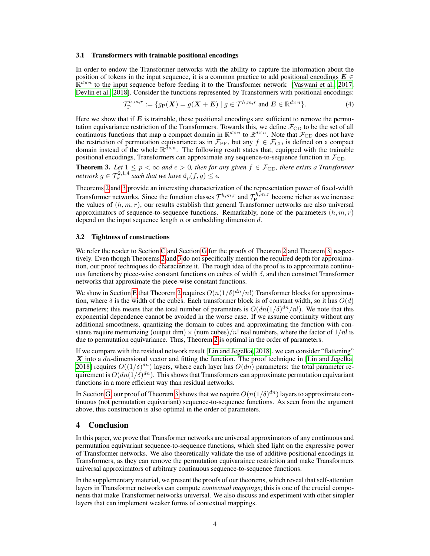#### 3.1 Transformers with trainable positional encodings

In order to endow the Transformer networks with the ability to capture the information about the position of tokens in the input sequence, it is a common practice to add positional encodings  $E \in \mathbb{C}$  $\mathbb{R}^{d \times n}$  to the input sequence before feeding it to the Transformer network [\[Vaswani et al., 2017,](#page-5-0) [Devlin et al., 2018\]](#page-4-0). Consider the functions represented by Transformers with positional encodings:

$$
\mathcal{T}_{\mathcal{P}}^{h,m,r} := \{ g_{\mathcal{P}}(\boldsymbol{X}) = g(\boldsymbol{X} + \boldsymbol{E}) \mid g \in \mathcal{T}^{h,m,r} \text{ and } \boldsymbol{E} \in \mathbb{R}^{d \times n} \}.
$$
 (4)

Here we show that if  $E$  is trainable, these positional encodings are sufficient to remove the permutation equivariance restriction of the Transformers. Towards this, we define  $\mathcal{F}_{CD}$  to be the set of all continuous functions that map a compact domain in  $\mathbb{R}^{d \times n}$  to  $\mathbb{R}^{d \times n}$ . Note that  $\mathcal{F}_{\text{CD}}$  does not have the restriction of permutation equivariance as in  $\mathcal{F}_{PE}$ , but any  $f \in \mathcal{F}_{CD}$  is defined on a compact domain instead of the whole  $\mathbb{R}^{d \times n}$ . The following result states that, equipped with the trainable positional encodings, Transformers can approximate any sequence-to-sequence function in  $\mathcal{F}_{CD}$ .

<span id="page-3-0"></span>**Theorem 3.** Let  $1 \leq p < \infty$  and  $\epsilon > 0$ , then for any given  $f \in \mathcal{F}_{CD}$ , there exists a Transformer *network*  $g \in \mathcal{T}_{\mathrm{P}}^{2,1,4}$  such that we have  $d_p(f,g) \leq \epsilon$ .

Theorems [2](#page-2-2) and [3](#page-3-0) provide an interesting characterization of the representation power of fixed-width Transformer networks. Since the function classes  $\mathcal{T}^{h,m,r}$  and  $\mathcal{T}_{\rm P}^{h,m,r}$  become richer as we increase the values of  $(h, m, r)$ , our results establish that general Transformer networks are also universal approximators of sequence-to-sequence functions. Remarkably, none of the parameters  $(h, m, r)$ depend on the input sequence length  $n$  or embedding dimension  $d$ .

#### 3.2 Tightness of constructions

We refer the reader to Section [C](#page-6-0) and Section [G](#page-17-0) for the proofs of Theorem [2](#page-2-2) and Theorem [3,](#page-3-0) respectively. Even though Theorems [2](#page-2-2) and [3](#page-3-0) do not specifically mention the required depth for approximation, our proof techniques do characterize it. The rough idea of the proof is to approximate continuous functions by piece-wise constant functions on cubes of width  $\delta$ , and then construct Transformer networks that approximate the piece-wise constant functions.

We show in Section [E](#page-7-0) that Theorem [2](#page-2-2) requires  $O(n(1/\delta)^{dn}/n!)$  Transformer blocks for approximation, where  $\delta$  is the width of the cubes. Each transformer block is of constant width, so it has  $O(d)$ parameters; this means that the total number of parameters is  $O(dn(1/\delta)^{dn}/n!)$ . We note that this exponential dependence cannot be avoided in the worse case. If we assume continuity without any additional smoothness, quantizing the domain to cubes and approximating the function with constants require memorizing (output dim)  $\times$  (num cubes)/n! real numbers, where the factor of  $1/n!$  is due to permutation equivariance. Thus, Theorem [2](#page-2-2) is optimal in the order of parameters.

If we compare with the residual network result [\[Lin and Jegelka, 2018\]](#page-4-10), we can consider "flattening"  $X$  into a  $dn$ -dimensional vector and fitting the function. The proof technique in [\[Lin and Jegelka,](#page-4-10) [2018\]](#page-4-10) requires  $O((1/\delta)^{dn})$  layers, where each layer has  $O(dn)$  parameters: the total parameter requirement is  $O(dn(1/\delta)^{dn})$ . This shows that Transformers can approximate permutation equivariant functions in a more efficient way than residual networks.

In Section [G,](#page-17-0) our proof of Theorem [3](#page-3-0) shows that we require  $O(n(1/\delta)^{dn})$  layers to approximate continuous (not permutation equivariant) sequence-to-sequence functions. As seen from the argument above, this construction is also optimal in the order of parameters.

## 4 Conclusion

In this paper, we prove that Transformer networks are universal approximators of any continuous and permutation equivariant sequence-to-sequence functions, which shed light on the expressive power of Transformer networks. We also theoretically validate the use of additive positional encodings in Transformers, as they can remove the permutation equivaraince restriction and make Transformers universal approximators of arbitrary continuous sequence-to-sequence functions.

In the supplementary material, we present the proofs of our theorems, which reveal that self-attention layers in Transformer networks can compute *contextual mappings*; this is one of the crucial components that make Transformer networks universal. We also discuss and experiment with other simpler layers that can implement weaker forms of contextual mappings.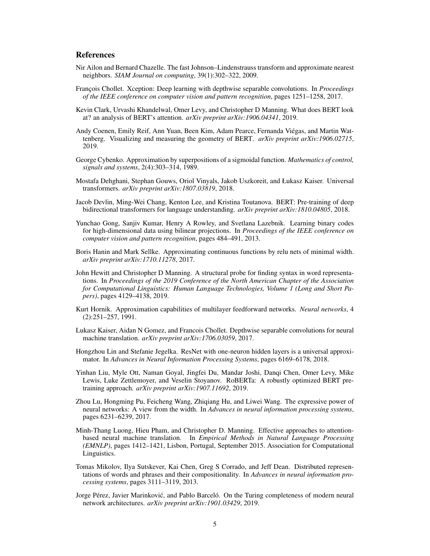# References

- <span id="page-4-15"></span>Nir Ailon and Bernard Chazelle. The fast Johnson–Lindenstrauss transform and approximate nearest neighbors. *SIAM Journal on computing*, 39(1):302–322, 2009.
- <span id="page-4-16"></span>François Chollet. Xception: Deep learning with depthwise separable convolutions. In *Proceedings of the IEEE conference on computer vision and pattern recognition*, pages 1251–1258, 2017.
- <span id="page-4-4"></span>Kevin Clark, Urvashi Khandelwal, Omer Levy, and Christopher D Manning. What does BERT look at? an analysis of BERT's attention. *arXiv preprint arXiv:1906.04341*, 2019.
- <span id="page-4-5"></span>Andy Coenen, Emily Reif, Ann Yuan, Been Kim, Adam Pearce, Fernanda Viegas, and Martin Wat- ´ tenberg. Visualizing and measuring the geometry of BERT. *arXiv preprint arXiv:1906.02715*, 2019.
- <span id="page-4-6"></span>George Cybenko. Approximation by superpositions of a sigmoidal function. *Mathematics of control, signals and systems*, 2(4):303–314, 1989.
- <span id="page-4-12"></span>Mostafa Dehghani, Stephan Gouws, Oriol Vinyals, Jakob Uszkoreit, and Łukasz Kaiser. Universal transformers. *arXiv preprint arXiv:1807.03819*, 2018.
- <span id="page-4-0"></span>Jacob Devlin, Ming-Wei Chang, Kenton Lee, and Kristina Toutanova. BERT: Pre-training of deep bidirectional transformers for language understanding. *arXiv preprint arXiv:1810.04805*, 2018.
- <span id="page-4-14"></span>Yunchao Gong, Sanjiv Kumar, Henry A Rowley, and Svetlana Lazebnik. Learning binary codes for high-dimensional data using bilinear projections. In *Proceedings of the IEEE conference on computer vision and pattern recognition*, pages 484–491, 2013.
- <span id="page-4-9"></span>Boris Hanin and Mark Sellke. Approximating continuous functions by relu nets of minimal width. *arXiv preprint arXiv:1710.11278*, 2017.
- <span id="page-4-3"></span>John Hewitt and Christopher D Manning. A structural probe for finding syntax in word representations. In *Proceedings of the 2019 Conference of the North American Chapter of the Association for Computational Linguistics: Human Language Technologies, Volume 1 (Long and Short Papers)*, pages 4129–4138, 2019.
- <span id="page-4-7"></span>Kurt Hornik. Approximation capabilities of multilayer feedforward networks. *Neural networks*, 4 (2):251–257, 1991.
- <span id="page-4-17"></span>Lukasz Kaiser, Aidan N Gomez, and Francois Chollet. Depthwise separable convolutions for neural machine translation. *arXiv preprint arXiv:1706.03059*, 2017.
- <span id="page-4-10"></span>Hongzhou Lin and Stefanie Jegelka. ResNet with one-neuron hidden layers is a universal approximator. In *Advances in Neural Information Processing Systems*, pages 6169–6178, 2018.
- <span id="page-4-1"></span>Yinhan Liu, Myle Ott, Naman Goyal, Jingfei Du, Mandar Joshi, Danqi Chen, Omer Levy, Mike Lewis, Luke Zettlemoyer, and Veselin Stoyanov. RoBERTa: A robustly optimized BERT pretraining approach. *arXiv preprint arXiv:1907.11692*, 2019.
- <span id="page-4-8"></span>Zhou Lu, Hongming Pu, Feicheng Wang, Zhiqiang Hu, and Liwei Wang. The expressive power of neural networks: A view from the width. In *Advances in neural information processing systems*, pages 6231–6239, 2017.
- <span id="page-4-13"></span>Minh-Thang Luong, Hieu Pham, and Christopher D. Manning. Effective approaches to attentionbased neural machine translation. In *Empirical Methods in Natural Language Processing (EMNLP)*, pages 1412–1421, Lisbon, Portugal, September 2015. Association for Computational Linguistics.
- <span id="page-4-2"></span>Tomas Mikolov, Ilya Sutskever, Kai Chen, Greg S Corrado, and Jeff Dean. Distributed representations of words and phrases and their compositionality. In *Advances in neural information processing systems*, pages 3111–3119, 2013.
- <span id="page-4-11"></span>Jorge Pérez, Javier Marinković, and Pablo Barceló. On the Turing completeness of modern neural network architectures. *arXiv preprint arXiv:1901.03429*, 2019.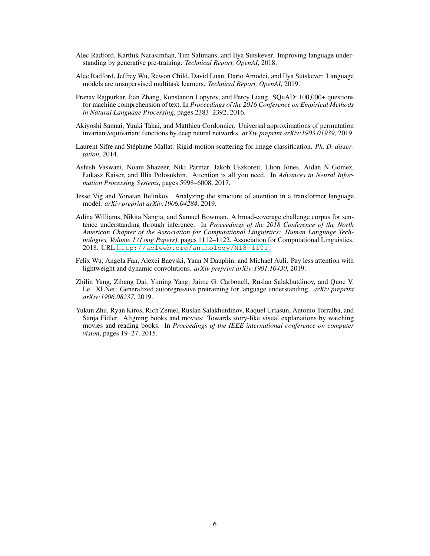- <span id="page-5-1"></span>Alec Radford, Karthik Narasimhan, Tim Salimans, and Ilya Sutskever. Improving language understanding by generative pre-training. *Technical Report, OpenAI*, 2018.
- <span id="page-5-2"></span>Alec Radford, Jeffrey Wu, Rewon Child, David Luan, Dario Amodei, and Ilya Sutskever. Language models are unsupervised multitask learners. *Technical Report, OpenAI*, 2019.
- <span id="page-5-8"></span>Pranav Rajpurkar, Jian Zhang, Konstantin Lopyrev, and Percy Liang. SQuAD: 100,000+ questions for machine comprehension of text. In *Proceedings of the 2016 Conference on Empirical Methods in Natural Language Processing*, pages 2383–2392, 2016.
- <span id="page-5-5"></span>Akiyoshi Sannai, Yuuki Takai, and Matthieu Cordonnier. Universal approximations of permutation invariant/equivariant functions by deep neural networks. *arXiv preprint arXiv:1903.01939*, 2019.
- <span id="page-5-6"></span>Laurent Sifre and Stéphane Mallat. Rigid-motion scattering for image classification. *Ph. D. dissertation*, 2014.
- <span id="page-5-0"></span>Ashish Vaswani, Noam Shazeer, Niki Parmar, Jakob Uszkoreit, Llion Jones, Aidan N Gomez, Łukasz Kaiser, and Illia Polosukhin. Attention is all you need. In *Advances in Neural Information Processing Systems*, pages 5998–6008, 2017.
- <span id="page-5-4"></span>Jesse Vig and Yonatan Belinkov. Analyzing the structure of attention in a transformer language model. *arXiv preprint arXiv:1906.04284*, 2019.
- <span id="page-5-9"></span>Adina Williams, Nikita Nangia, and Samuel Bowman. A broad-coverage challenge corpus for sentence understanding through inference. In *Proceedings of the 2018 Conference of the North American Chapter of the Association for Computational Linguistics: Human Language Technologies, Volume 1 (Long Papers)*, pages 1112–1122. Association for Computational Linguistics, 2018. URL <http://aclweb.org/anthology/N18-1101>.
- <span id="page-5-7"></span>Felix Wu, Angela Fan, Alexei Baevski, Yann N Dauphin, and Michael Auli. Pay less attention with lightweight and dynamic convolutions. *arXiv preprint arXiv:1901.10430*, 2019.
- <span id="page-5-3"></span>Zhilin Yang, Zihang Dai, Yiming Yang, Jaime G. Carbonell, Ruslan Salakhutdinov, and Quoc V. Le. XLNet: Generalized autoregressive pretraining for language understanding. *arXiv preprint arXiv:1906.08237*, 2019.
- <span id="page-5-10"></span>Yukun Zhu, Ryan Kiros, Rich Zemel, Ruslan Salakhutdinov, Raquel Urtasun, Antonio Torralba, and Sanja Fidler. Aligning books and movies: Towards story-like visual explanations by watching movies and reading books. In *Proceedings of the IEEE international conference on computer vision*, pages 19–27, 2015.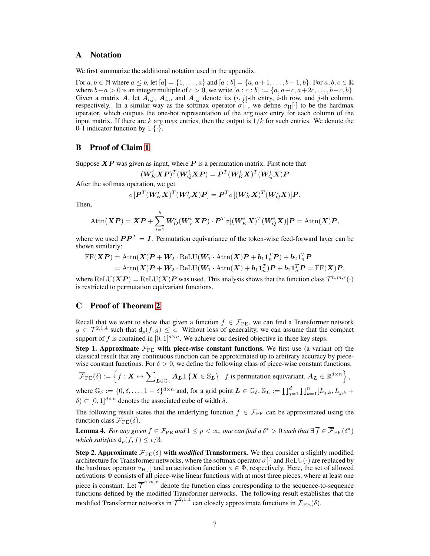# A Notation

We first summarize the additional notation used in the appendix.

For  $a, b \in \mathbb{N}$  where  $a \leq b$ , let  $[a] = \{1, \ldots, a\}$  and  $[a : b] = \{a, a+1, \ldots, b-1, b\}$ . For  $a, b, c \in \mathbb{R}$ where  $b-a > 0$  is an integer multiple of  $c > 0$ , we write  $[a : c : b] := \{a, a+c, a+2c, \ldots, b-c, b\}.$ Given a matrix A, let  $A_{i,j}$ ,  $A_{i,:}$ , and  $A_{i,j}$  denote its  $(i,j)$ -th entry, i-th row, and j-th column, respectively. In a similar way as the softmax operator  $\sigma[\cdot]$ , we define  $\sigma_H[\cdot]$  to be the hardmax operator, which outputs the one-hot representation of the arg max entry for each column of the input matrix. If there are k arg max entries, then the output is  $1/k$  for such entries. We denote the 0-1 indicator function by  $\mathbb{1}\{\cdot\}$ .

# <span id="page-6-1"></span>B Proof of Claim [1](#page-2-3)

Suppose  $\boldsymbol{XP}$  was given as input, where  $\boldsymbol{P}$  is a permutation matrix. First note that

$$
(\boldsymbol{W}_K^i\boldsymbol{X}\boldsymbol{P})^T(\boldsymbol{W}_Q^i\boldsymbol{X}\boldsymbol{P}) = \boldsymbol{P}^T(\boldsymbol{W}_K^i\boldsymbol{X})^T(\boldsymbol{W}_Q^i\boldsymbol{X})\boldsymbol{P}
$$

After the softmax operation, we get

$$
\sigma[\bm{P}^T(\bm{W}_K^i\bm{X})^T(\bm{W}_Q^i\bm{X})\bm{P}]=\bm{P}^T\sigma[(\bm{W}_K^i\bm{X})^T(\bm{W}_Q^i\bm{X})]\bm{P}.
$$

Then,

$$
\text{Attn}(\boldsymbol{XP}) = \boldsymbol{XP} + \sum_{i=1}^{h} \boldsymbol{W}_{\boldsymbol{O}}^{i}(\boldsymbol{W}_{\boldsymbol{V}}^{i} \boldsymbol{XP}) \cdot \boldsymbol{P}^{T} \sigma[(\boldsymbol{W}_{\boldsymbol{K}}^{i} \boldsymbol{X})^{T}(\boldsymbol{W}_{\boldsymbol{Q}}^{i} \boldsymbol{X})] \boldsymbol{P} = \text{Attn}(\boldsymbol{X}) \boldsymbol{P},
$$

where we used  $PP^T = I$ . Permutation equivariance of the token-wise feed-forward layer can be shown similarly:

$$
FF(\boldsymbol{XP}) = \text{Attn}(\boldsymbol{X})\boldsymbol{P} + \boldsymbol{W}_2 \cdot \text{ReLU}(\boldsymbol{W}_1 \cdot \text{Attn}(\boldsymbol{X})\boldsymbol{P} + \boldsymbol{b}_1 \boldsymbol{1}_n^T \boldsymbol{P}) + \boldsymbol{b}_2 \boldsymbol{1}_n^T \boldsymbol{P}
$$
  
= Attn(\boldsymbol{X})\boldsymbol{P} + \boldsymbol{W}\_2 \cdot \text{ReLU}(\boldsymbol{W}\_1 \cdot \text{Attn}(\boldsymbol{X}) + \boldsymbol{b}\_1 \boldsymbol{1}\_n^T) \boldsymbol{P} + \boldsymbol{b}\_2 \boldsymbol{1}\_n^T \boldsymbol{P} = \text{FF}(\boldsymbol{X})\boldsymbol{P},

where  $ReLU(XP) = ReLU(X)P$  was used. This analysis shows that the function class  $\mathcal{T}^{h,m,r}(\cdot)$ is restricted to permutation equivariant functions.

## <span id="page-6-0"></span>C Proof of Theorem [2](#page-2-2)

Recall that we want to show that given a function  $f \in \mathcal{F}_{PE}$ , we can find a Transformer network  $g \in \mathcal{T}^{2,1,4}$  such that  $d_p(f,g) \leq \epsilon$ . Without loss of generality, we can assume that the compact support of f is contained in  $[0, 1]^{d \times n}$ . We achieve our desired objective in three key steps:

Step 1. Approximate  $\mathcal{F}_{\text{PE}}$  with piece-wise constant functions. We first use (a variant of) the classical result that any continuous function can be approximated up to arbitrary accuracy by piecewise constant functions. For  $\delta > 0$ , we define the following class of piece-wise constant functions.

$$
\overline{\mathcal{F}}_{\mathrm{PE}}(\delta) := \left\{f: \boldsymbol{X} \mapsto \sum\nolimits_{\boldsymbol{L} \in \mathbb{G}_{\delta}} \boldsymbol{A}_{\boldsymbol{L}} \mathbb{1} \left\{ \boldsymbol{X} \in \mathbb{S}_{\boldsymbol{L}} \right\} \mid f \text{ is permutation equivariant, } \boldsymbol{A}_{\boldsymbol{L}} \in \mathbb{R}^{d \times n} \right\},
$$

where  $\mathbb{G}_{\delta} := \{0, \delta, \ldots, 1 - \delta\}^{d \times n}$  and, for a grid point  $\mathbf{L} \in \mathbb{G}_{\delta}, \mathbb{S}_{\mathbf{L}} := \prod_{j=1}^{d} \prod_{k=1}^{n} [L_{j,k}, L_{j,k} + \delta]$  $\delta$ )  $\subset$  [0, 1]<sup>d × n</sup> denotes the associated cube of width  $\delta$ .

The following result states that the underlying function  $f \in \mathcal{F}_{PE}$  can be approximated using the function class  $\overline{\mathcal{F}}_{\text{PE}}(\delta)$ .

<span id="page-6-2"></span>Lemma 4. For any given  $f \in \mathcal{F}_{\rm PE}$  and  $1 \leq p < \infty$ , one can find a  $\delta^* > 0$  such that  $\exists \overline{f} \in \overline{\mathcal{F}}_{\rm PE}(\delta^*)$ *which satisfies*  $d_p(f, \overline{f}) \leq \epsilon/3$ .

**Step 2. Approximate**  $\overline{\mathcal{F}}_{\text{PE}}(\delta)$  with *modified* Transformers. We then consider a slightly modified architecture for Transformer networks, where the softmax operator  $\sigma[\cdot]$  and ReLU( $\cdot$ ) are replaced by the hardmax operator  $\sigma_H[\cdot]$  and an activation function  $\phi \in \Phi$ , respectively. Here, the set of allowed activations Φ consists of all piece-wise linear functions with at most three pieces, where at least one piece is constant. Let  $\overline{\mathcal{T}}^{h,m,r}$  denote the function class corresponding to the sequence-to-sequence functions defined by the modified Transformer networks. The following result establishes that the modified Transformer networks in  $\overline{\mathcal{T}}^{2,1,1}$  can closely approximate functions in  $\overline{\mathcal{F}}_{\text{PE}}(\delta)$ .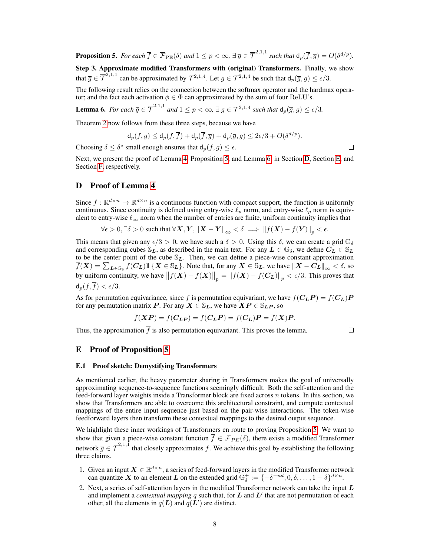<span id="page-7-2"></span>**Proposition 5.** For each  $\overline{f} \in \overline{\mathcal{F}}_{\text{PE}}(\delta)$  and  $1 \leq p < \infty$ ,  $\exists \, \overline{g} \in \overline{\mathcal{T}}^{2,1,1}$  such that  $d_p(\overline{f}, \overline{g}) = O(\delta^{d/p})$ .

Step 3. Approximate modified Transformers with (original) Transformers. Finally, we show that  $\overline{g} \in \overline{\mathcal{T}}^{2,1,1}$  can be approximated by  $\mathcal{T}^{2,1,4}$ . Let  $g \in \mathcal{T}^{2,1,4}$  be such that  $d_p(\overline{g}, g) \leq \epsilon/3$ .

The following result relies on the connection between the softmax operator and the hardmax operator; and the fact each activation  $\phi \in \Phi$  can approximated by the sum of four ReLU's.

<span id="page-7-3"></span>**Lemma 6.** For each  $\overline{g} \in \overline{\mathcal{T}}^{2,1,1}$  and  $1 \leq p < \infty$ ,  $\exists g \in \mathcal{T}^{2,1,4}$  such that  $d_p(\overline{g}, g) \leq \epsilon/3$ .

Theorem [2](#page-2-2) now follows from these three steps, because we have

$$
\mathsf{d}_p(f,g) \le \mathsf{d}_p(f,\overline{f}) + \mathsf{d}_p(\overline{f},\overline{g}) + \mathsf{d}_p(\overline{g},g) \le 2\epsilon/3 + O(\delta^{d/p}).
$$

Choosing  $\delta \leq \delta^*$  small enough ensures that  $d_p(f, g) \leq \epsilon$ .

Next, we present the proof of Lemma [4,](#page-6-2) Proposition [5,](#page-7-2) and Lemma [6,](#page-7-3) in Section [D,](#page-7-4) Section [E,](#page-7-0) and Section [F,](#page-16-0) respectively.

# <span id="page-7-4"></span>D Proof of Lemma [4](#page-6-2)

Since  $f : \mathbb{R}^{d \times n} \to \mathbb{R}^{d \times n}$  is a continuous function with compact support, the function is uniformly continuous. Since continuity is defined using entry-wise  $\ell_p$  norm, and entry-wise  $\ell_p$  norm is equivalent to entry-wise  $\ell_{\infty}$  norm when the number of entries are finite, uniform continuity implies that

$$
\forall \epsilon > 0, \exists \delta > 0 \text{ such that } \forall \mathbf{X}, \mathbf{Y}, ||\mathbf{X} - \mathbf{Y}||_{\infty} < \delta \implies ||f(\mathbf{X}) - f(\mathbf{Y})||_{p} < \epsilon.
$$

This means that given any  $\epsilon/3 > 0$ , we have such a  $\delta > 0$ . Using this  $\delta$ , we can create a grid  $\mathbb{G}_{\delta}$ and corresponding cubes  $\mathbb{S}_L$ , as described in the main text. For any  $L \in \mathbb{G}_{\delta}$ , we define  $C_L \in \mathbb{S}_L$ to be the center point of the cube  $\mathcal{S}_L$ . Then, we can define a piece-wise constant approximation  $\overline{f}(X) = \sum_{L \in \mathbb{G}_\delta} f(C_L) \mathbbm{1}\{X \in \mathbb{S}_L\}$ . Note that, for any  $X \in \mathbb{S}_L$ , we have  $\|X - C_L\|_\infty < \delta$ , so by uniform continuity, we have  $||f(X) - \overline{f}(X)||_p = ||f(X) - f(C_L)||_p < \epsilon/3$ . This proves that  $d_p(f, \overline{f}) < \epsilon/3$ .

As for permutation equivariance, since f is permutation equivariant, we have  $f(C_L P) = f(C_L)P$ for any permutation matrix P. For any  $X \in \mathcal{S}_L$ , we have  $XP \in \mathcal{S}_{LP}$ , so

$$
\overline{f}(\mathbf{X}\mathbf{P}) = f(\mathbf{C}_{\mathbf{L}\mathbf{P}}) = f(\mathbf{C}_{\mathbf{L}}\mathbf{P}) = f(\mathbf{C}_{\mathbf{L}})\mathbf{P} = \overline{f}(\mathbf{X})\mathbf{P}.
$$

Thus, the approximation  $\overline{f}$  is also permutation equivariant. This proves the lemma.

 $\Box$ 

 $\Box$ 

## <span id="page-7-0"></span>E Proof of Proposition [5](#page-7-2)

#### <span id="page-7-1"></span>E.1 Proof sketch: Demystifying Transformers

As mentioned earlier, the heavy parameter sharing in Transformers makes the goal of universally approximating sequence-to-sequence functions seemingly difficult. Both the self-attention and the feed-forward layer weights inside a Transformer block are fixed across n tokens. In this section, we show that Transformers are able to overcome this architectural constraint, and compute contextual mappings of the entire input sequence just based on the pair-wise interactions. The token-wise feedforward layers then transform these contextual mappings to the desired output sequence.

We highlight these inner workings of Transformers en route to proving Proposition [5.](#page-7-2) We want to show that given a piece-wise constant function  $f \in \mathcal{F}_{PE}(\delta)$ , there exists a modified Transformer network  $\overline{g} \in \overline{\mathcal{T}}^{2,1,1}$  that closely approximates  $\overline{f}$ . We achieve this goal by establishing the following three claims.

- 1. Given an input  $X \in \mathbb{R}^{d \times n}$ , a series of feed-forward layers in the modified Transformer network can quantize X to an element L on the extended grid  $\mathbb{G}_{\delta}^+ := \{-\delta^{-nd}, 0, \delta, \dots, 1 - \delta\}^{d \times n}$ .
- 2. Next, a series of self-attention layers in the modified Transformer network can take the input  $L$ and implement a *contextual mapping*  $q$  such that, for  $L$  and  $L'$  that are not permutation of each other, all the elements in  $q(L)$  and  $q(L')$  are distinct.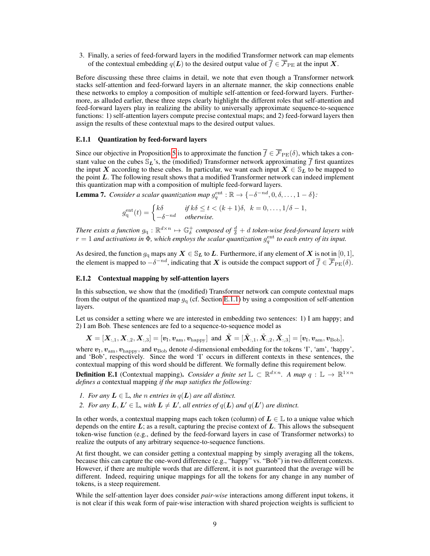3. Finally, a series of feed-forward layers in the modified Transformer network can map elements of the contextual embedding  $q(L)$  to the desired output value of  $\overline{f} \in \overline{\mathcal{F}}_{\text{PE}}$  at the input X.

Before discussing these three claims in detail, we note that even though a Transformer network stacks self-attention and feed-forward layers in an alternate manner, the skip connections enable these networks to employ a composition of multiple self-attention or feed-forward layers. Furthermore, as alluded earlier, these three steps clearly highlight the different roles that self-attention and feed-forward layers play in realizing the ability to universally approximate sequence-to-sequence functions: 1) self-attention layers compute precise contextual maps; and 2) feed-forward layers then assign the results of these contextual maps to the desired output values.

## <span id="page-8-0"></span>E.1.1 Quantization by feed-forward layers

Since our objective in Proposition [5](#page-7-2) is to approximate the function  $\overline{f} \in \overline{\mathcal{F}}_{PE}(\delta)$ , which takes a constant value on the cubes  $\mathcal{S}_L$ 's, the (modified) Transformer network approximating  $\bar{f}$  first quantizes the input X according to these cubes. In particular, we want each input  $X \in \mathcal{S}_L$  to be mapped to the point L. The following result shows that a modified Transformer network can indeed implement this quantization map with a composition of multiple feed-forward layers.

<span id="page-8-1"></span>**Lemma 7.** *Consider a scalar quantization map*  $g_q^{\text{ent}} : \mathbb{R} \to \{-\delta^{-nd}, 0, \delta, \ldots, 1-\delta\}$ :

$$
g_{\mathbf{q}}^{\text{ent}}(t) = \begin{cases} k\delta & \text{if } k\delta \le t < (k+1)\delta, \ \ k = 0, \dots, 1/\delta - 1, \\ -\delta^{-nd} & \text{otherwise.} \end{cases}
$$

There exists a function  $g_q : \mathbb{R}^{d \times n} \mapsto \mathbb{G}^+_ \delta$  composed of  $\frac{d} \delta + d$  token-wise feed-forward layers with  $r = 1$  and activations in  $\Phi$ , which employs the scalar quantization  $g_q^{\text{ent}}$  to each entry of its input.

As desired, the function  $g_q$  maps any  $X \in \mathcal{S}_L$  to  $L$ . Furthermore, if any element of  $X$  is not in [0, 1], the element is mapped to  $-\delta^{-nd}$ , indicating that  $X$  is outside the compact support of  $\overline{f} \in \overline{\mathcal{F}}_{\text{PE}}(\delta)$ .

## E.1.2 Contextual mapping by self-attention layers

In this subsection, we show that the (modified) Transformer network can compute contextual maps from the output of the quantized map  $g_q$  (cf. Section [E.1.1\)](#page-8-0) by using a composition of self-attention layers.

Let us consider a setting where we are interested in embedding two sentences: 1) I am happy; and 2) I am Bob. These sentences are fed to a sequence-to-sequence model as

$$
\bm{X} = [\bm{X}_{:,1}, \bm{X}_{:,2}, \bm{X}_{:,3}] = [\bm{v}_\text{I}, \bm{v}_\text{am}, \bm{v}_\text{happy}] \text{ and } \tilde{\bm{X}} = [\tilde{\bm{X}}_{:,1}, \tilde{\bm{X}}_{:,2}, \tilde{\bm{X}}_{:,3}] = [\bm{v}_\text{I}, \bm{v}_\text{am}, \bm{v}_\text{Bob}],
$$

where  $v_{\rm I}$ ,  $v_{\rm am}$ ,  $v_{\rm happy}$ , and  $v_{\rm Bob}$  denote d-dimensional embedding for the tokens 'I', 'am', 'happy', and 'Bob', respectively. Since the word 'I' occurs in different contexts in these sentences, the contextual mapping of this word should be different. We formally define this requirement below.

<span id="page-8-2"></span>**Definition E.1** (Contextual mapping). *Consider a finite set*  $\mathbb{L} \subset \mathbb{R}^{d \times n}$ . *A map*  $q : \mathbb{L} \to \mathbb{R}^{1 \times n}$ *defines a* contextual mapping *if the map satisfies the following:*

- *1. For any*  $L \in \mathbb{L}$ *, the n entries in*  $q(L)$  *are all distinct.*
- 2. For any  $L, L' \in \mathbb{L}$ , with  $L \neq L'$ , all entries of  $q(L)$  and  $q(L')$  are distinct.

In other words, a contextual mapping maps each token (column) of  $L \in \mathbb{L}$  to a unique value which depends on the entire  $L$ ; as a result, capturing the precise context of  $L$ . This allows the subsequent token-wise function (e.g., defined by the feed-forward layers in case of Transformer networks) to realize the outputs of any arbitrary sequence-to-sequence functions.

At first thought, we can consider getting a contextual mapping by simply averaging all the tokens, because this can capture the one-word difference (e.g., "happy" vs. "Bob") in two different contexts. However, if there are multiple words that are different, it is not guaranteed that the average will be different. Indeed, requiring unique mappings for all the tokens for any change in any number of tokens, is a steep requirement.

While the self-attention layer does consider *pair-wise* interactions among different input tokens, it is not clear if this weak form of pair-wise interaction with shared projection weights is sufficient to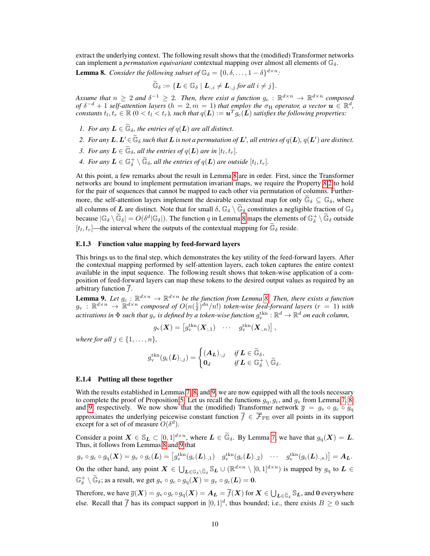extract the underlying context. The following result shows that the (modified) Transformer networks can implement a *permutation equivariant* contextual mapping over almost all elements of  $\mathbb{G}_{\delta}$ .

<span id="page-9-0"></span>**Lemma 8.** *Consider the following subset of*  $\mathbb{G}_{\delta} = \{0, \delta, \ldots, 1 - \delta\}^{d \times n}$ :

$$
\widetilde{\mathbb{G}}_{\delta}:=\{\boldsymbol{L}\in\mathbb{G}_{\delta}\mid \boldsymbol{L}_{:,i}\neq\boldsymbol{L}_{:,j} \text{ for all } i\neq j\}.
$$

Assume that  $n \geq 2$  and  $\delta^{-1} \geq 2$ . Then, there exist a function  $g_c: \mathbb{R}^{d \times n} \to \mathbb{R}^{d \times n}$  composed *of*  $\delta^{-d} + 1$  *self-attention layers*  $(h = 2, m = 1)$  *that employ the*  $\sigma_H$  *operator, a vector*  $u \in \mathbb{R}^d$ *,* constants  $t_l, t_r \in \mathbb{R}$  ( $0 < t_l < t_r$ ), such that  $q(\boldsymbol{L}) := \boldsymbol{u}^T g_c(\boldsymbol{L})$  satisfies the following properties:

- <span id="page-9-3"></span>*1. For any*  $\mathbf{L} \in \widetilde{\mathbb{G}}_{\delta}$ , the entries of  $q(\mathbf{L})$  are all distinct.
- <span id="page-9-1"></span>2. For any  $L,L'\in \widetilde{\mathbb{G}}_\delta$  such that  $L$  is not a permutation of  $L'$ , all entries of  $q(L)$ ,  $q(L')$  are distinct.
- <span id="page-9-4"></span>*3. For any*  $\mathbf{L} \in \widetilde{\mathbb{G}}_{\delta}$ , all the entries of  $q(\mathbf{L})$  are in  $[t_l, t_r]$ .
- <span id="page-9-5"></span>*4.* For any  $\boldsymbol{L}\in \mathbb{G}_\delta^+ \setminus \widetilde{\mathbb{G}}_\delta$ , all the entries of  $q(\boldsymbol{L})$  are outside  $[t_l, t_r].$

At this point, a few remarks about the result in Lemma [8](#page-9-0) are in order. First, since the Transformer networks are bound to implement permutation invariant maps, we require the Property [8.](#page-9-0)[2](#page-9-1) to hold for the pair of sequences that cannot be mapped to each other via permutation of columns. Furthermore, the self-attention layers implement the desirable contextual map for only  $\mathbb{G}_{\delta} \subseteq \mathbb{G}_{\delta}$ , where all columns of L are distinct. Note that for small  $\delta$ ,  $\mathbb{G}_{\delta} \setminus \tilde{\mathbb{G}}_{\delta}$  constitutes a negligible fraction of  $\mathbb{G}_{\delta}$ because  $|\mathbb{G}_{\delta} \setminus \widetilde{\mathbb{G}}_{\delta}| = O(\delta^d | \mathbb{G}_{\delta}|)$ . The function q in Lemma [8](#page-9-0) maps the elements of  $\mathbb{G}_{\delta}^+ \setminus \widetilde{\mathbb{G}}_{\delta}$  outside  $[t_l, t_r]$ —the interval where the outputs of the contextual mapping for  $\widetilde{\mathbb{G}}_{\delta}$  reside.

## E.1.3 Function value mapping by feed-forward layers

This brings us to the final step, which demonstrates the key utility of the feed-forward layers. After the contextual mapping performed by self-attention layers, each token captures the entire context available in the input sequence. The following result shows that token-wise application of a composition of feed-forward layers can map these tokens to the desired output values as required by an arbitrary function  $f$ .

<span id="page-9-2"></span>**Lemma 9.** Let  $g_c$  :  $\mathbb{R}^{d \times n} \to \mathbb{R}^{d \times n}$  be the function from Lemma [8.](#page-9-0) Then, there exists a function  $g_v$  :  $\mathbb{R}^{d \times n} \to \mathbb{R}^{d \times n}$  composed of  $O(n(\frac{1}{\delta})^{dn}/n!)$  *token-wise feed-forward layers*  $(r = 1)$  *with* activations in  $\Phi$  such that  $g_v$  is defined by a token-wise function  $g_v^{\text{tkn}}:\mathbb{R}^d\to\mathbb{R}^d$  on each column,

$$
g_{\mathbf{v}}(\boldsymbol{X}) = \begin{bmatrix} g_{\mathbf{v}}^{\text{tkn}}(\boldsymbol{X}_{:,1}) & \cdots & g_{\mathbf{v}}^{\text{tkn}}(\boldsymbol{X}_{:,n}) \end{bmatrix},
$$

*where for all*  $j \in \{1, \ldots, n\}$ ,

$$
g_{\mathrm{v}}^{\mathrm{tkn}}(g_{\mathrm{c}}(\boldsymbol{L})_{:,j}) = \begin{cases} (\boldsymbol{A}_{\boldsymbol{L}})_{:,j} & \text{if } \boldsymbol{L} \in \widetilde{\mathbb{G}}_{\delta}, \\ \boldsymbol{0}_{d} & \text{if } \boldsymbol{L} \in \mathbb{G}_{\delta}^{+} \setminus \widetilde{\mathbb{G}}_{\delta}. \end{cases}
$$

## E.1.4 Putting all these together

With the results established in Lemmas [7,](#page-8-1) [8,](#page-9-0) and [9,](#page-9-2) we are now equipped with all the tools necessary to complete the proof of Proposition [5.](#page-7-2) Let us recall the functions  $g<sub>q</sub>, g<sub>c</sub>$ , and  $g<sub>v</sub>$  from Lemma [7,](#page-8-1) [8,](#page-9-0) and [9,](#page-9-2) respectively. We now show that the (modified) Transformer network  $\bar{g} = g_v \circ g_c \circ g_q$ approximates the underlying peicewise constant function  $\overline{f} \in \overline{\mathcal{F}}_{\text{PE}}$  over all points in its support except for a set of of measure  $O(\delta^d)$ .

Consider a point  $X \in \mathbb{S}_L \subset [0,1]^{d \times n}$ , where  $L \in \widetilde{\mathbb{G}}_{\delta}$ . By Lemma [7,](#page-8-1) we have that  $g_q(X) = L$ .<br>Thus, it follows from Lemmas [8](#page-9-0) and [9](#page-9-2) that

 $g_{\rm v}\circ g_{\rm c}\circ g_{\rm q}(\boldsymbol{X})=g_{\rm v}\circ g_{\rm c}(\boldsymbol{L})=\begin{bmatrix} g_{\rm v}^{\rm thr}(g_{\rm c}(\boldsymbol{L})_{\cdot,1}) & g_{\rm v}^{\rm thr}(g_{\rm c}(\boldsymbol{L})_{\cdot,2}) & \cdots & g_{\rm v}^{\rm thr}(g_{\rm c}(\boldsymbol{L})_{\cdot,n}) \end{bmatrix}=\boldsymbol{A}_{\boldsymbol{L}}.$ On the other hand, any point  $X \in \bigcup_{L \in \mathbb{G}_\delta \setminus \widetilde{\mathbb{G}}_\delta} \mathbb{S}_L \cup (\mathbb{R}^{d \times n} \setminus [0,1]^{d \times n})$  is mapped by  $g_q$  to  $L \in \mathbb{R}$  $\mathbb{G}_\delta^+ \setminus \widetilde{\mathbb{G}}_\delta$ ; as a result, we get  $g_v \circ g_c \circ g_q(\boldsymbol{X}) = g_v \circ g_c(\boldsymbol{L}) = \boldsymbol{0}$ .

Therefore, we have  $\overline{g}(\boldsymbol{X}) = g_v \circ g_c \circ g_q(\boldsymbol{X}) = \boldsymbol{A_L} = \overline{f}(\boldsymbol{X})$  for  $\boldsymbol{X} \in \bigcup_{\boldsymbol{L} \in \widetilde{\mathbb{G}}_{\delta}} \mathbb{S}_{\boldsymbol{L}}$ , and 0 everywhere else. Recall that  $\overline{f}$  has its compact support in  $[0,1]^d$ , thus bounded; i.e., there exists  $B \ge 0$  such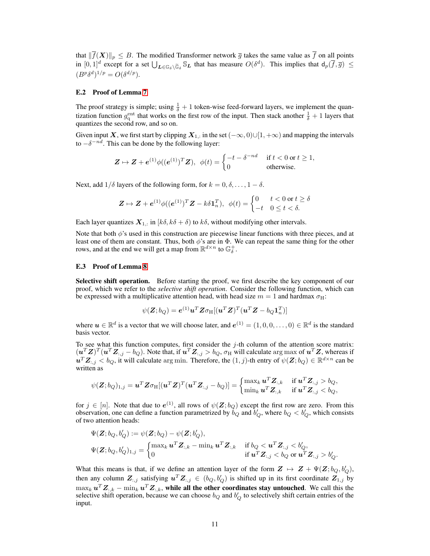that  $\|\overline{f}(X)\|_p \leq B$ . The modified Transformer network  $\overline{g}$  takes the same value as  $\overline{f}$  on all points in  $[0,1]^d$  except for a set  $\bigcup_{\mathbf{L}\in\mathbb{G}_{\delta}\backslash\widetilde{\mathbb{G}}_{\delta}}\mathbb{S}_{\mathbf{L}}$  that has measure  $O(\delta^d)$ . This implies that  $d_p(\overline{f},\overline{g}) \leq$  $(B^p \delta^d)^{1/p} = O(\delta^{d/p}).$ 

#### E.2 Proof of Lemma [7](#page-8-1)

The proof strategy is simple; using  $\frac{1}{\delta} + 1$  token-wise feed-forward layers, we implement the quantization function  $g_q^{\text{ent}}$  that works on the first row of the input. Then stack another  $\frac{1}{\delta} + 1$  layers that quantizes the second row, and so on.

Given input  $X$ , we first start by clipping  $X_{1,:}$  in the set  $(-\infty,0)\cup[1,+\infty)$  and mapping the intervals to  $-\delta^{-nd}$ . This can be done by the following layer:

$$
\mathbf{Z} \mapsto \mathbf{Z} + \mathbf{e}^{(1)} \phi((\mathbf{e}^{(1)})^T \mathbf{Z}), \ \ \phi(t) = \begin{cases} -t - \delta^{-nd} & \text{if } t < 0 \text{ or } t \ge 1, \\ 0 & \text{otherwise.} \end{cases}
$$

Next, add  $1/\delta$  layers of the following form, for  $k = 0, \delta, \ldots, 1 - \delta$ .

$$
\mathbf{Z} \mapsto \mathbf{Z} + \mathbf{e}^{(1)} \phi((\mathbf{e}^{(1)})^T \mathbf{Z} - k \delta \mathbf{1}_n^T), \ \ \phi(t) = \begin{cases} 0 & t < 0 \text{ or } t \ge \delta \\ -t & 0 \le t < \delta. \end{cases}
$$

Each layer quantizes  $X_{1,:}$  in  $[k\delta, k\delta + \delta)$  to  $k\delta$ , without modifying other intervals.

Note that both  $\phi$ 's used in this construction are piecewise linear functions with three pieces, and at least one of them are constant. Thus, both  $\phi$ 's are in  $\Phi$ . We can repeat the same thing for the other rows, and at the end we will get a map from  $\mathbb{R}^{d \times n}$  to  $\mathbb{G}_\delta^+$ .

#### E.3 Proof of Lemma [8](#page-9-0)

Selective shift operation. Before starting the proof, we first describe the key component of our proof, which we refer to the *selective shift operation*. Consider the following function, which can be expressed with a multiplicative attention head, with head size  $m = 1$  and hardmax  $\sigma_H$ :

$$
\psi(\boldsymbol{Z};b_Q) = \boldsymbol{e}^{(1)} \boldsymbol{u}^T \boldsymbol{Z} \sigma_{\rm H} [(\boldsymbol{u}^T \boldsymbol{Z})^T (\boldsymbol{u}^T \boldsymbol{Z} - b_Q \boldsymbol{1}_n^T)]
$$

where  $u \in \mathbb{R}^d$  is a vector that we will choose later, and  $e^{(1)} = (1,0,0,\ldots,0) \in \mathbb{R}^d$  is the standard basis vector.

To see what this function computes, first consider the  $j$ -th column of the attention score matrix:  $(u^T Z)^T (u^T Z_{:,j} - b_Q)$ . Note that, if  $u^T Z_{:,j} > b_Q$ ,  $\sigma_H$  will calculate  $\arg \max$  of  $u^T Z$ , whereas if  $u^T Z_{:,j} < b_Q$ , it will calculate arg min. Therefore, the  $(1,j)$ -th entry of  $\psi(Z;b_Q) \in \mathbb{R}^{d \times n}$  can be written as

$$
\psi(\boldsymbol{Z};b_Q)_{1,j}=\boldsymbol{u}^T\boldsymbol{Z}\sigma_{\textrm{H}}[(\boldsymbol{u}^T\boldsymbol{Z})^T(\boldsymbol{u}^T\boldsymbol{Z}_{:,j}-b_Q)]=\begin{cases}\max_{k}\boldsymbol{u}^T\boldsymbol{Z}_{:,k} & \text{if $\boldsymbol{u}^T\boldsymbol{Z}_{:,j}>b_Q$,}\\ \min_{k}\boldsymbol{u}^T\boldsymbol{Z}_{:,k} & \text{if $\boldsymbol{u}^T\boldsymbol{Z}_{:,j}
$$

for  $j \in [n]$ . Note that due to  $e^{(1)}$ , all rows of  $\psi(\mathbf{Z}; b_Q)$  except the first row are zero. From this observation, one can define a function parametrized by  $\check{b}_Q$  and  $\check{b}'_Q$ , where  $b_Q < b'_Q$ , which consists of two attention heads:

$$
\begin{aligned} &\Psi(\boldsymbol{Z};b_{Q},b'_{Q}) := \psi(\boldsymbol{Z};b_{Q}) - \psi(\boldsymbol{Z};b'_{Q}), \\ &\Psi(\boldsymbol{Z};b_{Q},b'_{Q})_{1,j} = \begin{cases} \max_{k} \boldsymbol{u}^{T} \boldsymbol{Z}_{:,k} - \min_{k} \boldsymbol{u}^{T} \boldsymbol{Z}_{:,k} & \text{ if } b_{Q} < \boldsymbol{u}^{T} \boldsymbol{Z}_{:,j} < b'_{Q}, \\ 0 & \text{ if } \boldsymbol{u}^{T} \boldsymbol{Z}_{:,j} < b_{Q} \text{ or } \boldsymbol{u}^{T} \boldsymbol{Z}_{:,j} > b'_{Q}. \end{cases} \end{aligned}
$$

What this means is that, if we define an attention layer of the form  $\mathbf{Z} \mapsto \mathbf{Z} + \Psi(\mathbf{Z}; b_Q, b_Q'),$ then any column  $\mathbf{Z}_{:,j}$  satisfying  $\mathbf{u}^T \mathbf{Z}_{:,j} \in (b_Q, b_Q')$  is shifted up in its first coordinate  $\mathbf{Z}_{1,j}$  by  $\max_k \bm{u}^T \bm{Z}_{:,k} - \min_k \bm{u}^T \bm{Z}_{:,k}$ , while all the other coordinates stay untouched. We call this the selective shift operation, because we can choose  $b_Q$  and  $b'_Q$  to selectively shift certain entries of the input.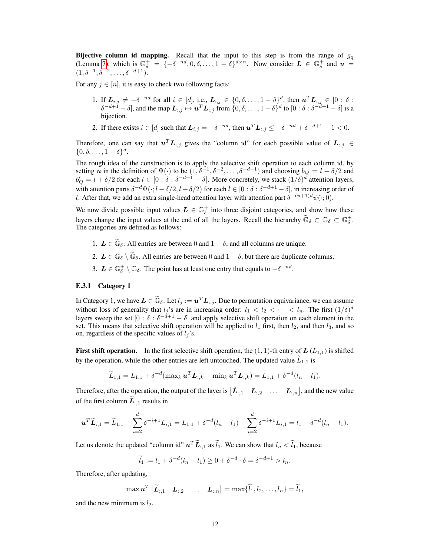Bijective column id mapping. Recall that the input to this step is from the range of  $g_q$ (Lemma [7\)](#page-8-1), which is  $\mathbb{G}_{\delta}^{+} = \{-\delta^{-nd}, 0, \delta, \ldots, 1-\delta\}^{d \times n}$ . Now consider  $L \in \mathbb{G}_{\delta}^{+}$  and  $u =$  $(1, \delta^{-1}, \delta^{-2}, \ldots, \delta^{-d+1}).$ 

For any  $j \in [n]$ , it is easy to check two following facts:

- 1. If  $L_{i,j} \neq -\delta^{-nd}$  for all  $i \in [d]$ , i.e.,  $L_{:,j} \in \{0, \delta, \ldots, 1-\delta\}^d$ , then  $\mathbf{u}^T L_{:,j} \in [0:\delta:$  $\delta^{-d+1} - \delta$ , and the map  $L_{:,j} \mapsto u^T L_{:,j}$  from  $\{0, \delta, \dots, 1 - \delta\}^d$  to  $[0 : \delta : \delta^{-d+1} - \delta]$  is a bijection.
- 2. If there exists  $i \in [d]$  such that  $\boldsymbol{L}_{i,j} = -\delta^{-nd}$ , then  $\boldsymbol{u}^T \boldsymbol{L}_{:,j} \leq -\delta^{-nd} + \delta^{-d+1} 1 < 0$ .

Therefore, one can say that  $u^T L_{:,j}$  gives the "column id" for each possible value of  $L_{:,j} \in$  $\{0,\delta,\ldots,1-\delta\}^d$ .

The rough idea of the construction is to apply the selective shift operation to each column id, by setting  $\vec{u}$  in the definition of  $\Psi(\cdot)$  to be  $(1, \delta^{-1}, \delta^{-2}, \ldots, \delta^{-d+1})$  and choosing  $b_Q = l - \delta/2$  and  $b'_Q = l + \delta/2$  for each  $l \in [0 : \delta : \delta^{-d+1} - \delta]$ . More concretely, we stack  $(1/\delta)^d$  attention layers, with attention parts  $\delta^{-d}\Psi(\cdot; l-\delta/2, l+\delta/2)$  for each  $l\in[0:\delta:\delta^{-d+1}-\delta]$ , in increasing order of l. After that, we add an extra single-head attention layer with attention part  $\delta^{-(n+1)d} \psi(\cdot; 0)$ .

We now divide possible input values  $L \in \mathbb{G}_\delta^+$  into three disjoint categories, and show how these layers change the input values at the end of all the layers. Recall the hierarchy  $\tilde{\mathbb{G}}_{\delta} \subset \mathbb{G}_{\delta} \subset \mathbb{G}_{\delta}^+$ . The categories are defined as follows:

- 1.  $\mathbf{L} \in \widetilde{\mathbb{G}}_{\delta}$ . All entries are between 0 and  $1 \delta$ , and all columns are unique.
- 2.  $L \in \mathbb{G}_{\delta} \setminus \widetilde{\mathbb{G}}_{\delta}$ . All entries are between 0 and  $1 \delta$ , but there are duplicate columns.
- 3.  $\mathbf{L} \in \mathbb{G}_{\delta}^+ \setminus \mathbb{G}_{\delta}$ . The point has at least one entry that equals to  $-\delta^{-nd}$ .

## <span id="page-11-0"></span>E.3.1 Category 1

In Category 1, we have  $\mathbf{L} \in \widetilde{\mathbb{G}}_{\delta}$ . Let  $l_j := \mathbf{u}^T \mathbf{L}_{:,j}$ . Due to permutation equivariance, we can assume without loss of generality that  $l_j$ 's are in increasing order:  $l_1 < l_2 < \cdots < l_n$ . The first  $(1/\delta)^d$ layers sweep the set  $[0:\delta:\delta^{-d+1}-\delta]$  and apply selective shift operation on each element in the set. This means that selective shift operation will be applied to  $l_1$  first, then  $l_2$ , and then  $l_3$ , and so on, regardless of the specific values of  $l_i$ 's.

**First shift operation.** In the first selective shift operation, the  $(1, 1)$ -th entry of  $L(L_{1,1})$  is shifted by the operation, while the other entries are left untouched. The updated value  $L_{1,1}$  is

$$
\widetilde{L}_{1,1} = L_{1,1} + \delta^{-d}(\max_k {\boldsymbol{u}^T} {\boldsymbol{L}}_{:,k} - \min_k {\boldsymbol{u}^T} {\boldsymbol{L}}_{:,k}) = L_{1,1} + \delta^{-d}(l_n - l_1).
$$

Therefore, after the operation, the output of the layer is  $[\tilde{L}_{:,1} \quad L_{:,2} \quad \dots \quad L_{:,n}]$ , and the new value of the first column  $\widetilde{L}_{:,1}$  results in

$$
\boldsymbol{u}^T \widetilde{\boldsymbol{L}}_{:,1} = \widetilde{L}_{1,1} + \sum_{i=2}^d \delta^{-i+1} L_{i,1} = L_{1,1} + \delta^{-d} (l_n - l_1) + \sum_{i=2}^d \delta^{-i+1} L_{i,1} = l_1 + \delta^{-d} (l_n - l_1).
$$

Let us denote the updated "column id"  $u^T \tilde{L}_{:,1}$  as  $\tilde{l}_1$ . We can show that  $l_n < \tilde{l}_1$ , because

 $\widetilde{l}_1 := l_1 + \delta^{-d}(l_n - l_1) \geq 0 + \delta^{-d} \cdot \delta = \delta^{-d+1} > l_n.$ 

Therefore, after updating,

$$
\max \boldsymbol{u}^T \begin{bmatrix} \widetilde{\boldsymbol{L}}_{:,1} & \boldsymbol{L}_{:,2} & \dots & \boldsymbol{L}_{:,n} \end{bmatrix} = \max \{ \widetilde{l}_1, l_2, \dots, l_n \} = \widetilde{l}_1,
$$

and the new minimum is  $l_2$ .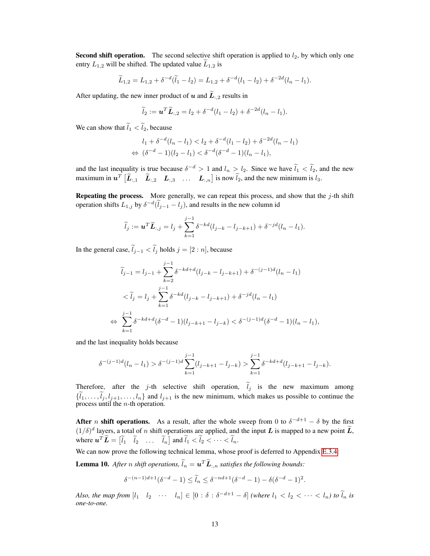**Second shift operation.** The second selective shift operation is applied to  $l_2$ , by which only one entry  $L_{1,2}$  will be shifted. The updated value  $L_{1,2}$  is

$$
\widetilde{L}_{1,2} = L_{1,2} + \delta^{-d}(\widetilde{l}_1 - l_2) = L_{1,2} + \delta^{-d}(l_1 - l_2) + \delta^{-2d}(l_n - l_1).
$$

After updating, the new inner product of u and  $\widetilde{L}_{1,2}$  results in

$$
\widetilde{l}_2 := \mathbf{u}^T \widetilde{\boldsymbol{L}}_{:,2} = l_2 + \delta^{-d} (l_1 - l_2) + \delta^{-2d} (l_n - l_1).
$$

We can show that  $\tilde{l}_1 < \tilde{l}_2$ , because

$$
l_1 + \delta^{-d}(l_n - l_1) < l_2 + \delta^{-d}(l_1 - l_2) + \delta^{-2d}(l_n - l_1) \\
\Leftrightarrow (\delta^{-d} - 1)(l_2 - l_1) < \delta^{-d}(\delta^{-d} - 1)(l_n - l_1),
$$

and the last inequality is true because  $\delta^{-d} > 1$  and  $l_n > l_2$ . Since we have  $l_1 < l_2$ , and the new maximum in  $u^T \begin{bmatrix} \widetilde{L}_{:,1} & \widetilde{L}_{:,2} & L_{:,3} & \dots & L_{:,n} \end{bmatrix}$  is now  $\widetilde{l}_2$ , and the new minimum is  $l_3$ .

**Repeating the process.** More generally, we can repeat this process, and show that the  $j$ -th shift operation shifts  $L_{1,j}$  by  $\delta^{-d}(\tilde{l}_{j-1} - l_j)$ , and results in the new column id

$$
\widetilde{l}_j := \mathbf{u}^T \widetilde{\mathbf{L}}_{:,j} = l_j + \sum_{k=1}^{j-1} \delta^{-kd} (l_{j-k} - l_{j-k+1}) + \delta^{-jd} (l_n - l_1).
$$

In the general case,  $\tilde{l}_{j-1} < \tilde{l}_j$  holds  $j = [2:n]$ , because

$$
\widetilde{l}_{j-1} = l_{j-1} + \sum_{k=2}^{j-1} \delta^{-kd+d} (l_{j-k} - l_{j-k+1}) + \delta^{-(j-1)d} (l_n - l_1)
$$
\n
$$
< \widetilde{l}_j = l_j + \sum_{k=1}^{j-1} \delta^{-kd} (l_{j-k} - l_{j-k+1}) + \delta^{-jd} (l_n - l_1)
$$
\n
$$
\Leftrightarrow \sum_{k=1}^{j-1} \delta^{-kd+d} (\delta^{-d} - 1)(l_{j-k+1} - l_{j-k}) < \delta^{-(j-1)d} (\delta^{-d} - 1)(l_n - l_1),
$$

and the last inequality holds because

$$
\delta^{-(j-1)d}(l_n-l_1) > \delta^{-(j-1)d} \sum_{k=1}^{j-1} (l_{j-k+1}-l_{j-k}) > \sum_{k=1}^{j-1} \delta^{-kd+d}(l_{j-k+1}-l_{j-k}).
$$

Therefore, after the j-th selective shift operation,  $\tilde{l}_j$  is the new maximum among  $\{\tilde{l}_1,\ldots,\tilde{l}_j, l_{j+1},\ldots, l_n\}$  and  $l_{j+1}$  is the new minimum, which makes us possible to continue the process until the n-th operation.

After *n* shift operations. As a result, after the whole sweep from 0 to  $\delta^{-d+1} - \delta$  by the first  $(1/\delta)^d$  layers, a total of n shift operations are applied, and the input L is mapped to a new point  $\widetilde{L}$ , where  $\mathbf{u}^T \mathbf{L} = \begin{bmatrix} \tilde{l}_1 & \tilde{l}_2 & \dots & \tilde{l}_n \end{bmatrix}$  and  $\tilde{l}_1 < \tilde{l}_2 < \dots < \tilde{l}_n$ .

We can now prove the following technical lemma, whose proof is deferred to Appendix [E.3.4:](#page-15-0)

<span id="page-12-0"></span>**Lemma 10.** After *n* shift operations,  $\tilde{l}_n = \boldsymbol{u}^T \tilde{\boldsymbol{L}}_{:,n}$  satisfies the following bounds:

$$
\delta^{-(n-1)d+1}(\delta^{-d}-1) \leq \tilde{l}_n \leq \delta^{-nd+1}(\delta^{-d}-1) - \delta(\delta^{-d}-1)^2.
$$

*Also, the map from*  $[l_1 \quad l_2 \quad \cdots \quad l_n] \in [0 : \delta : \delta^{-d+1} - \delta]$  *(where*  $l_1 < l_2 < \cdots < l_n$ ) to  $\tilde{l}_n$  is *one-to-one.*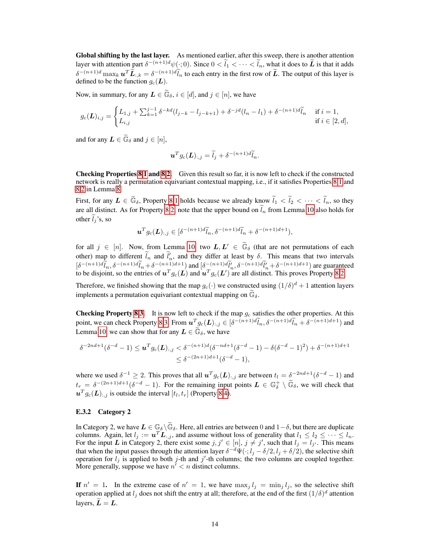Global shifting by the last layer. As mentioned earlier, after this sweep, there is another attention layer with attention part  $\delta^{-(n+1)d}\psi(\cdot; 0)$ . Since  $0 < \tilde{l}_1 < \cdots < \tilde{l}_n$ , what it does to  $\tilde{L}$  is that it adds  $\delta^{-(n+1)d} \max_k \boldsymbol{u}^T \widetilde{\boldsymbol{L}}_{:,k} = \delta^{-(n+1)d} \widetilde{l}_n$  to each entry in the first row of  $\widetilde{\boldsymbol{L}}$ . The output of this layer is defined to be the function  $g_c(L)$ .

Now, in summary, for any  $\mathbf{L} \in \widetilde{\mathbb{G}}_{\delta}, i \in [d]$ , and  $j \in [n]$ , we have

$$
g_c(\mathbf{L})_{i,j} = \begin{cases} L_{1,j} + \sum_{k=1}^{j-1} \delta^{-kd} (l_{j-k} - l_{j-k+1}) + \delta^{-jd} (l_n - l_1) + \delta^{-(n+1)d} \widetilde{l}_n & \text{if } i = 1, \\ L_{i,j} & \text{if } i \in [2,d], \end{cases}
$$

and for any  $\mathbf{L} \in \widetilde{\mathbb{G}}_{\delta}$  and  $j \in [n],$ 

$$
\boldsymbol{u}^T g_{\rm c}(\boldsymbol{L})_{:,j} = \widetilde{l}_j + \delta^{-(n+1)d} \widetilde{l}_n.
$$

Checking Properties [8](#page-9-0)[.1](#page-9-3) and [8](#page-9-0)[.2.](#page-9-1) Given this result so far, it is now left to check if the constructed network is really a permutation equivariant contextual mapping, i.e., if it satisfies Properties [8.](#page-9-0)[1](#page-9-3) and [8](#page-9-0)[.2](#page-9-1) in Lemma [8.](#page-9-0)

First, for any  $L \in \widetilde{\mathbb{G}}_{\delta}$ , Property [8.](#page-9-0)[1](#page-9-3) holds because we already know  $\widetilde{l}_1 < \widetilde{l}_2 < \cdots < \widetilde{l}_n$ , so they are all distinct. As for Property [8.](#page-9-0)[2,](#page-9-1) note that the upper bound on  $\tilde{l}_n$  from Lemma [10](#page-12-0) also holds for other  $\tilde{l}_i$ 's, so

$$
\boldsymbol{u}^T g_c(\boldsymbol{L})_{:,j} \in [\delta^{-(n+1)d} \widetilde{l}_n, \delta^{-(n+1)d} \widetilde{l}_n + \delta^{-(n+1)d+1}),
$$

for all  $j \in [n]$ . Now, from Lemma [10,](#page-12-0) two  $L, L' \in \widetilde{\mathbb{G}}_{\delta}$  (that are not permutations of each other) map to different  $l_n$  and  $l'_n$ , and they differ at least by  $\delta$ . This means that two intervals  $\left[\delta^{-(n+1)d}\tilde{l}_n, \delta^{-(n+1)d}+\delta^{-(n+1)d+1}\right]$  and  $\left[\delta^{-(n+1)d}\tilde{l}'_n, \delta^{-(n+1)d}+\delta^{-(n+1)d+1}\right]$  are guaranteed to be disjoint, so the entries of  $u^T g_c(L)$  and  $u^T g_c(L')$  are all distinct. This proves Property [8.](#page-9-0)[2.](#page-9-1)

Therefore, we finished showing that the map  $g_c(\cdot)$  we constructed using  $(1/\delta)^d + 1$  attention layers implements a permutation equivariant contextual mapping on  $\mathbb{G}_{\delta}$ .

**Checking Property [8](#page-9-0)[.3.](#page-9-4)** It is now left to check if the map  $g_c$  satisfies the other properties. At this point, we can check Property [8](#page-9-0)[.3.](#page-9-4) From  $u_{g_c}^T(\bm{L})_{:,j} \in [\delta^{-(n+1)d}\tilde{l}_n, \delta^{-(n+1)d}\tilde{l}_n + \delta^{-(n+1)d+1})$  and Lemma [10,](#page-12-0) we can show that for any  $L \in \tilde{\mathbb{G}}_{\delta}$ , we have

$$
\delta^{-2nd+1}(\delta^{-d}-1) \leq \mathbf{u}^T g_c(\mathbf{L})_{:,j} < \delta^{-(n+1)d}(\delta^{-nd+1}(\delta^{-d}-1) - \delta(\delta^{-d}-1)^2) + \delta^{-(n+1)d+1}
$$
  

$$
\leq \delta^{-(2n+1)d+1}(\delta^{-d}-1),
$$

where we used  $\delta^{-1} \ge 2$ . This proves that all  $u^T g_c(L)_{:,j}$  are between  $t_l = \delta^{-2nd+1}(\delta^{-d}-1)$  and  $t_r = \delta^{-(2n+1)d+1}(\delta^{-d} - 1)$ . For the remaining input points  $\mathbf{L} \in \mathbb{G}_{\delta}^+ \setminus \widetilde{\mathbb{G}}_{\delta}$ , we will check that  $u^T g_c(L)_{:,j}$  is outside the interval  $[t_l, t_r]$  (Property [8](#page-9-0)[.4\)](#page-9-5).

## E.3.2 Category 2

In Category 2, we have  $L \in \mathbb{G}_{\delta} \backslash \widetilde{\mathbb{G}}_{\delta}$ . Here, all entries are between 0 and  $1-\delta$ , but there are duplicate columns. Again, let  $l_j := \boldsymbol{u}^T \boldsymbol{L}_{:,j}$ , and assume without loss of generality that  $l_1 \leq l_2 \leq \cdots \leq l_n$ . For the input L in Category 2, there exist some  $j, j' \in [n]$ ,  $j \neq j'$ , such that  $l_j = l_{j'}$ . This means that when the input passes through the attention layer  $\delta^{-d}\Psi(\cdot;l_j-\delta/2,l_j+\delta/2)$ , the selective shift operation for  $l_j$  is applied to both j-th and j'-th columns; the two columns are coupled together. More generally, suppose we have  $n' < n$  distinct columns.

If  $n' = 1$ . In the extreme case of  $n' = 1$ , we have  $\max_j l_j = \min_j l_j$ , so the selective shift operation applied at  $l_j$  does not shift the entry at all; therefore, at the end of the first  $(1/\delta)^d$  attention layers,  $\widetilde{L} = L$ .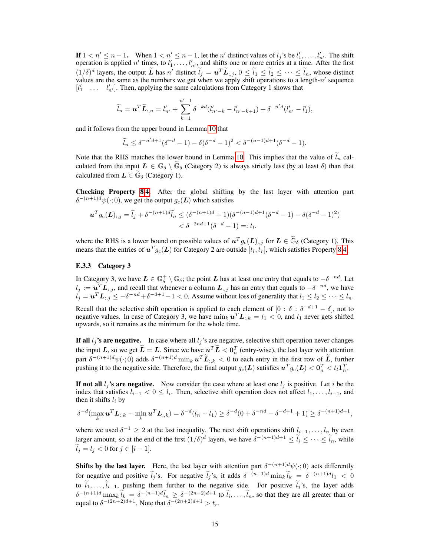If  $1 < n' \leq n-1$ . When  $1 < n' \leq n-1$ , let the n' distinct values of  $l_j$ 's be  $l'_1, \ldots, l'_{n'}$ . The shift operation is applied n' times, to  $l'_1, \ldots, l'_{n'}$ , and shifts one or more entries at a time. After the first  $(1/\delta)^d$  layers, the output  $\tilde{L}$  has n' distinct  $\tilde{l}_j = u^T \tilde{L}_{:,j}$ ,  $0 \leq \tilde{l}_1 \leq \tilde{l}_2 \leq \cdots \leq \tilde{l}_n$ , whose distinct values are the same as the numbers we get when we apply shift operations to a length- $n'$  sequence  $[l'_1 \quad \dots \quad l'_{n'}]$ . Then, applying the same calculations from Category 1 shows that

$$
\widetilde{l}_{n} = \boldsymbol{u}^{T} \widetilde{\boldsymbol{L}}_{:,n} = l'_{n'} + \sum_{k=1}^{n'-1} \delta^{-kd} (l'_{n'-k} - l'_{n'-k+1}) + \delta^{-n'd} (l'_{n'} - l'_{1}),
$$

and it follows from the upper bound in Lemma [10](#page-12-0) that

$$
\widetilde{l}_n \le \delta^{-n'd+1}(\delta^{-d}-1) - \delta(\delta^{-d}-1)^2 < \delta^{-(n-1)d+1}(\delta^{-d}-1).
$$

Note that the RHS matches the lower bound in Lemma [10.](#page-12-0) This implies that the value of  $l_n$  calculated from the input  $L \in \mathbb{G}_{\delta} \setminus \widetilde{\mathbb{G}}_{\delta}$  (Category 2) is always strictly less (by at least  $\delta$ ) than that calculated from  $\mathbf{L} \in \mathbb{G}_{\delta}$  (Category 1).

Checking Property [8.](#page-9-0)[4.](#page-9-5) After the global shifting by the last layer with attention part  $\delta^{-(n+1)d} \psi(\cdot; 0)$ , we get the output  $g_c(\mathbf{L})$  which satisfies

$$
\mathbf{u}^T g_c(\mathbf{L})_{:,j} = \widetilde{l}_j + \delta^{-(n+1)d} \widetilde{l}_n \leq (\delta^{-(n+1)d} + 1)(\delta^{-(n-1)d+1}(\delta^{-d} - 1) - \delta(\delta^{-d} - 1)^2) < \delta^{-2nd+1}(\delta^{-d} - 1) =: t_l.
$$

where the RHS is a lower bound on possible values of  $u^T g_c(L)$ :,j for  $L \in \widetilde{\mathbb{G}}_{\delta}$  (Category 1). This means that the entries of  $u^T g_c(L)$  for Category 2 are outside  $[t_l, t_r]$ , which satisfies Property [8.](#page-9-0)[4.](#page-9-5)

#### E.3.3 Category 3

In Category 3, we have  $L \in \mathbb{G}_\delta^+ \setminus \mathbb{G}_\delta$ ; the point L has at least one entry that equals to  $-\delta^{-nd}$ . Let  $l_j := u^T L_{:,j},$  and recall that whenever a column  $L_{:,j}$  has an entry that equals to  $-\delta^{-nd}$ , we have  $l_j = \mathbf{u}^T \mathbf{L}_{:,j} \leq -\delta^{-nd} + \delta^{-d+1} - 1 < 0$ . Assume without loss of generality that  $l_1 \leq l_2 \leq \cdots \leq l_n$ .

Recall that the selective shift operation is applied to each element of  $[0 : \delta : \delta^{-d+1} - \delta]$ , not to negative values. In case of Category 3, we have  $\min_k \mathbf{u}^T \mathbf{L}_{:,k} = l_1 < 0$ , and  $l_1$  never gets shifted upwards, so it remains as the minimum for the whole time.

If all  $l_i$ 's are negative. In case where all  $l_i$ 's are negative, selective shift operation never changes the input L, so we get  $\tilde{L} = L$ . Since we have  $u^T \tilde{L} < 0_n^T$  (entry-wise), the last layer with attention part  $\delta^{-(n+1)d}\psi(\cdot;0)$  adds  $\delta^{-(n+1)d} \min_k {\bf u}^T \tilde{\bf{L}}_{:,k} < 0$  to each entry in the first row of  $\tilde{\bf{L}}$ , further pushing it to the negative side. Therefore, the final output  $g_c(L)$  satisfies  $u^T g_c(L) < 0_n^T < t_l 1_n^T$ .

If not all  $l_i$ 's are negative. Now consider the case where at least one  $l_i$  is positive. Let i be the index that satisfies  $l_{i-1} < 0 \leq l_i$ . Then, selective shift operation does not affect  $l_1, \ldots, l_{i-1}$ , and then it shifts  $l_i$  by

$$
\delta^{-d}(\max_k \mathbf{u}^T \mathbf{L}_{:,k} - \min_k \mathbf{u}^T \mathbf{L}_{:,k}) = \delta^{-d}(l_n - l_1) \geq \delta^{-d}(0 + \delta^{-nd} - \delta^{-d+1} + 1) \geq \delta^{-(n+1)d+1},
$$

where we used  $\delta^{-1} \geq 2$  at the last inequality. The next shift operations shift  $l_{i+1}, \ldots, l_n$  by even larger amount, so at the end of the first  $(1/\delta)^d$  layers, we have  $\delta^{-(n+1)d+1} \leq \tilde{l}_i \leq \cdots \leq \tilde{l}_n$ , while  $\widetilde{l}_i = l_i < 0$  for  $j \in [i-1]$ .

**Shifts by the last layer.** Here, the last layer with attention part  $\delta^{-(n+1)d}\psi(\cdot;0)$  acts differently for negative and positive  $\tilde{l}_j$ 's. For negative  $\tilde{l}_j$ 's, it adds  $\delta^{-(n+1)d} \min_k \tilde{l}_k = \delta^{-(n+1)d} l_1 < 0$ to  $\tilde{l}_1, \ldots, \tilde{l}_{i-1}$ , pushing them further to the negative side. For positive  $\tilde{l}_j$ 's, the layer adds  $\delta^{-(n+1)d} \max_k \tilde{l}_k = \delta^{-(n+1)d} \tilde{l}_n \geq \delta^{-(2n+2)d+1}$  to  $\tilde{l}_i, \dots, \tilde{l}_n$ , so that they are all greater than or equal to  $\delta^{-(2n+2)d+1}$ . Note that  $\delta^{-(2n+2)d+1} > t_r$ .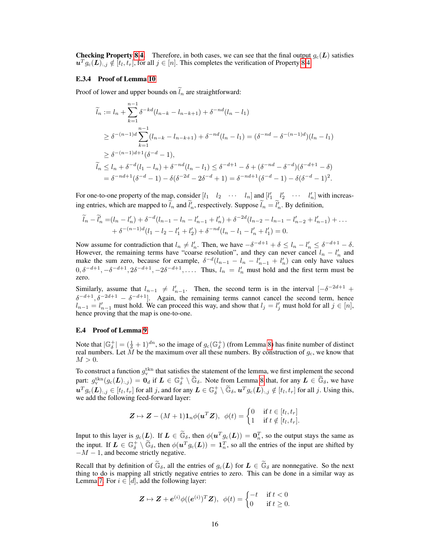**Checking Property [8](#page-9-0)[.4.](#page-9-5)** Therefore, in both cases, we can see that the final output  $q_c(L)$  satisfies  $u^T g_c(L)$ ,  $j \notin [t_l, t_r]$ , for all  $j \in [n]$ . This completes the verification of Property [8](#page-9-0)[.4.](#page-9-5)

#### <span id="page-15-0"></span>E.3.4 Proof of Lemma [10](#page-12-0)

Proof of lower and upper bounds on  $\tilde{l}_n$  are straightforward:

$$
\widetilde{l}_n := l_n + \sum_{k=1}^{n-1} \delta^{-kd} (l_{n-k} - l_{n-k+1}) + \delta^{-nd} (l_n - l_1)
$$
\n
$$
\geq \delta^{-(n-1)d} \sum_{k=1}^{n-1} (l_{n-k} - l_{n-k+1}) + \delta^{-nd} (l_n - l_1) = (\delta^{-nd} - \delta^{-(n-1)d}) (l_n - l_1)
$$
\n
$$
\geq \delta^{-(n-1)d+1} (\delta^{-d} - 1),
$$
\n
$$
\widetilde{l}_n \leq l_n + \delta^{-d} (l_1 - l_n) + \delta^{-nd} (l_n - l_1) \leq \delta^{-d+1} - \delta + (\delta^{-nd} - \delta^{-d}) (\delta^{-d+1} - \delta)
$$
\n
$$
= \delta^{-nd+1} (\delta^{-d} - 1) - \delta (\delta^{-2d} - 2\delta^{-d} + 1) = \delta^{-nd+1} (\delta^{-d} - 1) - \delta (\delta^{-d} - 1)^2.
$$

For one-to-one property of the map, consider  $\begin{bmatrix} l_1 & l_2 & \cdots & l_n \end{bmatrix}$  and  $\begin{bmatrix} l'_1 & l'_2 & \cdots & l'_n \end{bmatrix}$  with increasing entries, which are mapped to  $\tilde{l}_n$  and  $\tilde{l}'_n$ , respectively. Suppose  $\tilde{l}_n = \tilde{l}'_n$ . By definition,

$$
\widetilde{l}_n - \widetilde{l}'_n = (l_n - l'_n) + \delta^{-d}(l_{n-1} - l_n - l'_{n-1} + l'_n) + \delta^{-2d}(l_{n-2} - l_{n-1} - l'_{n-2} + l'_{n-1}) + \dots
$$
  
+  $\delta^{-(n-1)d}(l_1 - l_2 - l'_1 + l'_2) + \delta^{-nd}(l_n - l_1 - l'_n + l'_1) = 0.$ 

Now assume for contradiction that  $l_n \neq l'_n$ . Then, we have  $-\delta^{-d+1} + \delta \leq l_n - l'_n \leq \delta^{-d+1} - \delta$ . However, the remaining terms have "coarse resolution", and they can never cancel  $l_n - l'_n$  and make the sum zero, because for example,  $\delta^{-d}(l_{n-1} - l_n - l'_{n-1} + l'_n)$  can only have values  $0, \delta^{-d+1}, -\delta^{-d+1}, 2\delta^{-d+1}, -2\delta^{-d+1}, \ldots$  Thus,  $l_n = l'_n$  must hold and the first term must be zero.

Similarly, assume that  $l_{n-1} \neq l'_{n-1}$ . Then, the second term is in the interval  $[-\delta^{-2d+1} +$  $\delta^{-d+1}, \delta^{-2d+1} - \delta^{-d+1}$ . Again, the remaining terms cannot cancel the second term, hence  $l_{n-1} = l'_{n-1}$  must hold. We can proceed this way, and show that  $l_j = l'_j$  must hold for all  $j \in [n]$ , hence proving that the map is one-to-one.

#### E.4 Proof of Lemma [9](#page-9-2)

Note that  $|\mathbb{G}_{\delta}^+| = (\frac{1}{\delta} + 1)^{dn}$ , so the image of  $g_c(\mathbb{G}_{\delta}^+)$  (from Lemma [8\)](#page-9-0) has finite number of distinct real numbers. Let  $\dot{M}$  be the maximum over all these numbers. By construction of  $g_c$ , we know that  $M > 0$ .

To construct a function  $g_{\rm v}^{\rm tkn}$  that satisfies the statement of the lemma, we first implement the second part:  $g_{\mathbf{v}}^{\text{tkn}}(g_{\mathbf{c}}(\mathbf{L})_{:,j}) = \mathbf{0}_d$  if  $\mathbf{L} \in \mathbb{G}_\delta^+ \setminus \widetilde{\mathbb{G}}_\delta$ . Note from Lemma [8](#page-9-0) that, for any  $\mathbf{L} \in \widetilde{\mathbb{G}}_\delta$ , we have  $u^T g_c(\mathbf{L})_{:,j} \in [t_l, t_r]$  for all j, and for any  $\mathbf{L} \in \mathbb{G}_\delta^+ \setminus \widetilde{\mathbb{G}}_\delta$ ,  $u^T g_c(\mathbf{L})_{:,j} \notin [t_l, t_r]$  for all j. Using this, we add the following feed-forward layer:

$$
\boldsymbol{Z} \mapsto \boldsymbol{Z} - (M+1) \boldsymbol{1}_n \phi(\boldsymbol{u}^T \boldsymbol{Z}), \ \ \phi(t) = \begin{cases} 0 & \text{if } t \in [t_l, t_r] \\ 1 & \text{if } t \notin [t_l, t_r]. \end{cases}
$$

Input to this layer is  $g_c(\mathbf{L})$ . If  $\mathbf{L} \in \widetilde{\mathbb{G}}_{\delta}$ , then  $\phi(\mathbf{u}^T g_c(\mathbf{L})) = \mathbf{0}_n^T$ , so the output stays the same as the input. If  $L \in \mathbb{G}_{\delta}^+ \setminus \widetilde{\mathbb{G}}_{\delta}$ , then  $\phi(u^T g_c(L)) = \mathbf{1}_n^T$ , so all the entries of the input are shifted by  $-M-1$ , and become strictly negative.

Recall that by definition of  $\widetilde{\mathbb{G}}_{\delta}$ , all the entries of  $g_c(L)$  for  $L \in \widetilde{\mathbb{G}}_{\delta}$  are nonnegative. So the next thing to do is mapping all strictly negative entries to zero. This can be done in a similar way as Lemma [7.](#page-8-1) For  $i \in [d]$ , add the following layer:

$$
\mathbf{Z} \mapsto \mathbf{Z} + \mathbf{e}^{(i)} \phi((\mathbf{e}^{(i)})^T \mathbf{Z}), \ \ \phi(t) = \begin{cases} -t & \text{if } t < 0 \\ 0 & \text{if } t \ge 0. \end{cases}
$$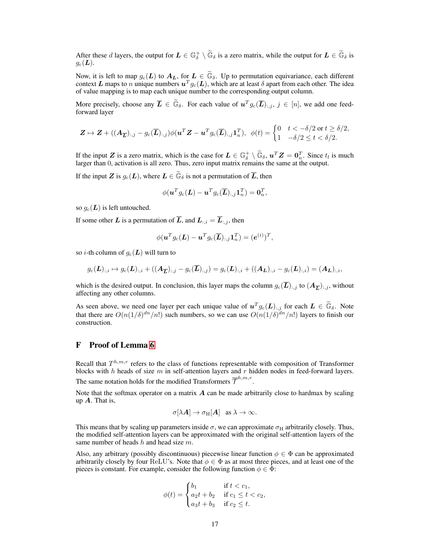After these d layers, the output for  $L \in \mathbb{G}_\delta^+ \setminus \widetilde{\mathbb{G}}_\delta$  is a zero matrix, while the output for  $L \in \widetilde{\mathbb{G}}_\delta$  is  $q_c(\mathbf{L}).$ 

Now, it is left to map  $g_c(L)$  to  $A_L$ , for  $L \in \widetilde{\mathbb{G}}_{\delta}$ . Up to permutation equivariance, each different context L maps to n unique numbers  $u^T g_c(L)$ , which are at least  $\delta$  apart from each other. The idea of value mapping is to map each unique number to the corresponding output column.

More precisely, choose any  $\overline{L} \in \widetilde{\mathbb{G}}_{\delta}$ . For each value of  $u^T g_c(\overline{L})_{:,j}, j \in [n]$ , we add one feedforward layer

$$
\mathbf{Z} \mapsto \mathbf{Z} + ((\mathbf{A}_{\overline{L}})_{:,j} - g_c(\overline{L})_{:,j})\phi(\mathbf{u}^T \mathbf{Z} - \mathbf{u}^T g_c(\overline{L})_{:,j}\mathbf{1}_n^T), \ \ \phi(t) = \begin{cases} 0 & t < -\delta/2 \text{ or } t \geq \delta/2, \\ 1 & -\delta/2 \leq t < \delta/2. \end{cases}
$$

If the input Z is a zero matrix, which is the case for  $L \in \mathbb{G}_{\delta}^{+} \setminus \widetilde{\mathbb{G}}_{\delta}$ ,  $u^{T}Z = 0_{n}^{T}$ . Since  $t_{l}$  is much larger than 0, activation is all zero. Thus, zero input matrix remains the same at the output.

If the input Z is  $g_c(L)$ , where  $L \in \widetilde{\mathbb{G}}_{\delta}$  is not a permutation of  $\overline{L}$ , then

$$
\phi(\boldsymbol{u}^Tg_{\rm c}(\boldsymbol{L})-\boldsymbol{u}^Tg_{\rm c}(\overline{\boldsymbol{L}})_{:,j}\boldsymbol{1}_n^T)=\boldsymbol{0}_n^T,
$$

so  $g_c(L)$  is left untouched.

If some other L is a permutation of  $\overline{L}$ , and  $L_{:,i} = \overline{L}_{:,j}$ , then

$$
\phi(\boldsymbol{u}^Tg_{\rm c}(\boldsymbol{L})-\boldsymbol{u}^Tg_{\rm c}(\overline{\boldsymbol{L}})_{:,j}\boldsymbol{1}_n^T)=(\boldsymbol{e}^{(i)})^T,
$$

so *i*-th column of  $g_c(L)$  will turn to

$$
g_{\rm c}(\mathbf{L})_{:,i} \mapsto g_{\rm c}(\mathbf{L})_{:,i} + ((\mathbf{A}_{\overline{\mathbf{L}}})_{:,j} - g_{\rm c}(\overline{\mathbf{L}})_{:,j}) = g_{\rm c}(\mathbf{L})_{:,i} + ((\mathbf{A}_{\mathbf{L}})_{:,i} - g_{\rm c}(\mathbf{L})_{:,i}) = (\mathbf{A}_{\mathbf{L}})_{:,i},
$$

which is the desired output. In conclusion, this layer maps the column  $g_c(\bar{L})_{:,j}$  to  $(A_{\overline{L}})_{:,j}$ , without affecting any other columns.

As seen above, we need one layer per each unique value of  $u^T g_c(L)$ ; for each  $L \in \widetilde{\mathbb{G}}_{\delta}$ . Note that there are  $O(n(1/\delta)^{dn}/n!)$  such numbers, so we can use  $O(n(1/\delta)^{dn}/n!)$  layers to finish our construction.

# <span id="page-16-0"></span>F Proof of Lemma [6](#page-7-3)

Recall that  $T^{h,m,r}$  refers to the class of functions representable with composition of Transformer blocks with  $h$  heads of size  $m$  in self-attention layers and  $r$  hidden nodes in feed-forward layers. The same notation holds for the modified Transformers  $\overline{\mathcal{T}}^{h,m,r}$ .

Note that the softmax operator on a matrix  $A$  can be made arbitrarily close to hardmax by scaling up  $A$ . That is,

$$
\sigma[\lambda \mathbf{A}] \to \sigma_{\mathrm{H}}[\mathbf{A}] \quad \text{as } \lambda \to \infty.
$$

This means that by scaling up parameters inside  $\sigma$ , we can approximate  $\sigma_H$  arbitrarily closely. Thus, the modified self-attention layers can be approximated with the original self-attention layers of the same number of heads h and head size  $m$ .

Also, any arbitrary (possibly discontinuous) piecewise linear function  $\phi \in \Phi$  can be approximated arbitrarily closely by four ReLU's. Note that  $\phi \in \Phi$  as at most three pieces, and at least one of the pieces is constant. For example, consider the following function  $\phi \in \Phi$ :

$$
\phi(t) = \begin{cases} b_1 & \text{if } t < c_1, \\ a_2t + b_2 & \text{if } c_1 \le t < c_2, \\ a_3t + b_3 & \text{if } c_2 \le t. \end{cases}
$$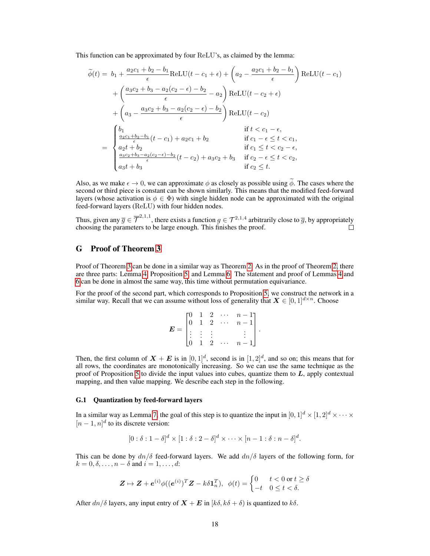This function can be approximated by four ReLU's, as claimed by the lemma:

$$
\tilde{\phi}(t) = b_1 + \frac{a_2c_1 + b_2 - b_1}{\epsilon} \text{ReLU}(t - c_1 + \epsilon) + \left(a_2 - \frac{a_2c_1 + b_2 - b_1}{\epsilon}\right) \text{ReLU}(t - c_1) \n+ \left(\frac{a_3c_2 + b_3 - a_2(c_2 - \epsilon) - b_2}{\epsilon} - a_2\right) \text{ReLU}(t - c_2 + \epsilon) \n+ \left(a_3 - \frac{a_3c_2 + b_3 - a_2(c_2 - \epsilon) - b_2}{\epsilon}\right) \text{ReLU}(t - c_2) \n= \begin{cases}\nb_1 & \text{if } t < c_1 - \epsilon, \\
\frac{a_2c_1 + b_2 - b_1}{\epsilon}(t - c_1) + a_2c_1 + b_2 & \text{if } c_1 - \epsilon \le t < c_1, \\
a_2t + b_2 & \text{if } c_1 \le t < c_2 - \epsilon, \\
\frac{a_3c_2 + b_3 - a_2(c_2 - \epsilon) - b_2}{\epsilon}(t - c_2) + a_3c_2 + b_3 & \text{if } c_2 - \epsilon \le t < c_2, \\
a_3t + b_3 & \text{if } c_2 \le t.\n\end{cases}
$$

Also, as we make  $\epsilon \to 0$ , we can approximate  $\phi$  as closely as possible using  $\widetilde{\phi}$ . The cases where the second or third piece is constant can be shown similarly. This means that the modified feed-forward layers (whose activation is  $\phi \in \Phi$ ) with single hidden node can be approximated with the original feed-forward layers (ReLU) with four hidden nodes.

Thus, given any  $\overline{g} \in \overline{\mathcal{T}}^{2,1,1}$ , there exists a function  $g \in \mathcal{T}^{2,1,4}$  arbitrarily close to  $\overline{g}$ , by appropriately choosing the parameters to be large enough. This finishes the proof.  $\Box$ 

# <span id="page-17-0"></span>G Proof of Theorem [3](#page-3-0)

Proof of Theorem [3](#page-3-0) can be done in a similar way as Theorem [2.](#page-2-2) As in the proof of Theorem [2,](#page-2-2) there are three parts: Lemma [4,](#page-6-2) Proposition [5,](#page-7-2) and Lemma [6.](#page-7-3) The statement and proof of Lemmas [4](#page-6-2) and [6](#page-7-3) can be done in almost the same way, this time without permutation equivariance.

For the proof of the second part, which corresponds to Proposition [5,](#page-7-2) we construct the network in a similar way. Recall that we can assume without loss of generality that  $X \in [0,1]^{d \times n}$ . Choose

| ΓO.      |   |   |                                                                          | $n-1$          |
|----------|---|---|--------------------------------------------------------------------------|----------------|
| $\Omega$ |   |   | $\begin{array}{ccc} \cdot & 1 & 2 & \cdot \\ 1 & 2 & \cdots \end{array}$ | $n-1$          |
|          |   |   |                                                                          |                |
|          |   |   |                                                                          |                |
|          | 1 | 2 |                                                                          | $\overline{n}$ |

Then, the first column of  $X + E$  is in  $[0, 1]^d$ , second is in  $[1, 2]^d$ , and so on; this means that for all rows, the coordinates are monotonically increasing. So we can use the same technique as the proof of Proposition [5](#page-7-2) to divide the input values into cubes, quantize them to  $L$ , apply contextual mapping, and then value mapping. We describe each step in the following.

#### G.1 Quantization by feed-forward layers

In a similar way as Lemma [7,](#page-8-1) the goal of this step is to quantize the input in  $[0, 1]^d \times [1, 2]^d \times \cdots \times$  $[n-1,n]^d$  to its discrete version:

$$
[0:\delta:1-\delta]^d\times[1:\delta:2-\delta]^d\times\cdots\times[n-1:\delta:n-\delta]^d.
$$

This can be done by  $dn/\delta$  feed-forward layers. We add  $dn/\delta$  layers of the following form, for  $k = 0, \delta, \ldots, n - \delta$  and  $i = 1, \ldots, d$ :

$$
\mathbf{Z} \mapsto \mathbf{Z} + \mathbf{e}^{(i)} \phi((\mathbf{e}^{(i)})^T \mathbf{Z} - k \delta \mathbf{1}_n^T), \ \ \phi(t) = \begin{cases} 0 & t < 0 \text{ or } t \ge \delta \\ -t & 0 \le t < \delta. \end{cases}
$$

After  $dn/\delta$  layers, any input entry of  $\mathbf{X} + \mathbf{E}$  in  $[k\delta, k\delta + \delta)$  is quantized to  $k\delta$ .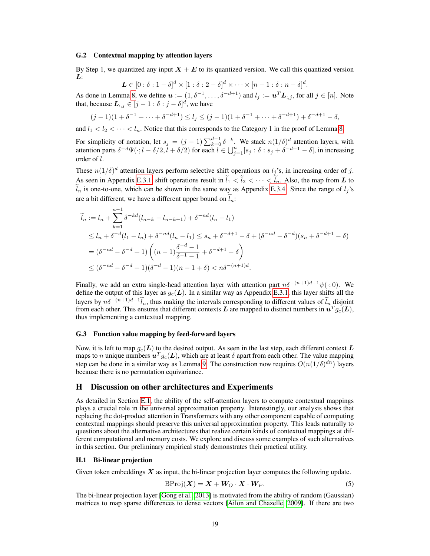#### G.2 Contextual mapping by attention layers

By Step 1, we quantized any input  $X + E$  to its quantized version. We call this quantized version L:

$$
\mathbf{L} \in [0:\delta:1-\delta]^d \times [1:\delta:2-\delta]^d \times \cdots \times [n-1:\delta:n-\delta]^d.
$$

As done in Lemma [8,](#page-9-0) we define  $u:=(1,\delta^{-1},\ldots,\delta^{-d+1})$  and  $l_j:=u^T\boldsymbol{L}_{:,j}$ , for all  $j\in[n]$ . Note that, because  $\boldsymbol{L}_{:,j} \in [j-1:\delta:j-\delta]^d$ , we have

$$
(j-1)(1+\delta^{-1}+\cdots+\delta^{-d+1}) \le l_j \le (j-1)(1+\delta^{-1}+\cdots+\delta^{-d+1})+\delta^{-d+1}-\delta,
$$

and  $l_1 < l_2 < \cdots < l_n$ . Notice that this corresponds to the Category 1 in the proof of Lemma [8.](#page-9-0)

For simplicity of notation, let  $s_j = (j-1) \sum_{k=0}^{d-1} \delta^{-k}$ . We stack  $n(1/\delta)^d$  attention layers, with attention parts  $\delta^{-d}\Psi(\cdot;l-\delta/2,\tilde{l}+\delta/2)$  for each  $\tilde{l} \in \bigcup_{j=1}^n [s_j:\delta:s_j+\delta^{-d+1}-\delta],$  in increasing order of l.

These  $n(1/\delta)^d$  attention layers perform selective shift operations on  $l_j$ 's, in increasing order of j. As seen in Appendix [E.3.1,](#page-11-0) shift operations result in  $\tilde{l}_1 < \tilde{l}_2 < \cdots < \tilde{l}_n$ . Also, the map from L to  $\tilde{l}_n$  is one-to-one, which can be shown in the same way as Appendix [E.3.4.](#page-15-0) Since the range of  $l_i$ 's are a bit different, we have a different upper bound on  $l_n$ :

$$
\widetilde{l}_n := l_n + \sum_{k=1}^{n-1} \delta^{-kd} (l_{n-k} - l_{n-k+1}) + \delta^{-nd} (l_n - l_1)
$$
\n
$$
\leq l_n + \delta^{-d} (l_1 - l_n) + \delta^{-nd} (l_n - l_1) \leq s_n + \delta^{-d+1} - \delta + (\delta^{-nd} - \delta^{-d})(s_n + \delta^{-d+1} - \delta)
$$
\n
$$
= (\delta^{-nd} - \delta^{-d} + 1) \left( (n-1) \frac{\delta^{-d} - 1}{\delta^{-1} - 1} + \delta^{-d+1} - \delta \right)
$$
\n
$$
\leq (\delta^{-nd} - \delta^{-d} + 1)(\delta^{-d} - 1)(n - 1 + \delta) < n\delta^{-(n+1)d}.
$$

Finally, we add an extra single-head attention layer with attention part  $n\delta^{-(n+1)d-1}\psi(\cdot;0)$ . We define the output of this layer as  $g_c(L)$ . In a similar way as Appendix [E.3.1,](#page-11-0) this layer shifts all the layers by  $n\delta^{-(n+1)d-1}\tilde{l}_n$ , thus making the intervals corresponding to different values of  $\tilde{l}_n$  disjoint from each other. This ensures that different contexts  $L$  are mapped to distinct numbers in  $\bm{u}^Tg_{\text{c}}(\bm{L}),$ thus implementing a contextual mapping.

#### G.3 Function value mapping by feed-forward layers

Now, it is left to map  $g_c(L)$  to the desired output. As seen in the last step, each different context L maps to n unique numbers  $u^T g_c(L)$ , which are at least  $\delta$  apart from each other. The value mapping step can be done in a similar way as Lemma [9.](#page-9-2) The construction now requires  $O(n(1/\delta)^{dn})$  layers because there is no permutation equivariance.

## <span id="page-18-0"></span>H Discussion on other architectures and Experiments

As detailed in Section [E.1,](#page-7-1) the ability of the self-attention layers to compute contextual mappings plays a crucial role in the universal approximation property. Interestingly, our analysis shows that replacing the dot-product attention in Transformers with any other component capable of computing contextual mappings should preserve this universal approximation property. This leads naturally to questions about the alternative architectures that realize certain kinds of contextual mappings at different computational and memory costs. We explore and discuss some examples of such alternatives in this section. Our preliminary empirical study demonstrates their practical utility.

## H.1 Bi-linear projection

Given token embeddings  $X$  as input, the bi-linear projection layer computes the following update.

$$
BProj(X) = X + W_O \cdot X \cdot W_P. \tag{5}
$$

The bi-linear projection layer [\[Gong et al., 2013\]](#page-4-14) is motivated from the ability of random (Gaussian) matrices to map sparse differences to dense vectors [\[Ailon and Chazelle, 2009\]](#page-4-15). If there are two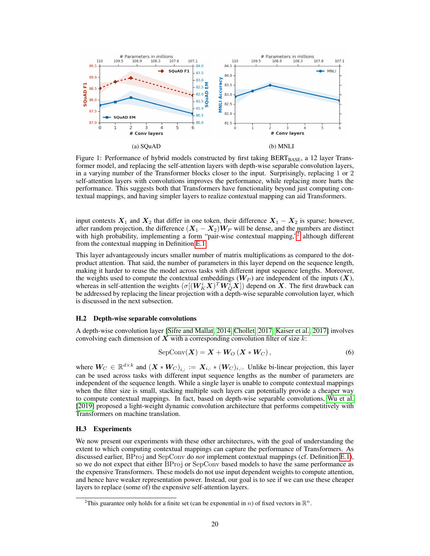<span id="page-19-1"></span>

Figure 1: Performance of hybrid models constructed by first taking  $BERT_{BASE}$ , a 12 layer Transformer model, and replacing the self-attention layers with depth-wise separable convolution layers, in a varying number of the Transformer blocks closer to the input. Surprisingly, replacing 1 or 2 self-attention layers with convolutions improves the performance, while replacing more hurts the performance. This suggests both that Transformers have functionality beyond just computing contextual mappings, and having simpler layers to realize contextual mapping can aid Transformers.

input contexts  $X_1$  and  $X_2$  that differ in one token, their difference  $X_1 - X_2$  is sparse; however, after random projection, the difference  $(X_1 - X_2)W_P$  will be dense, and the numbers are distinct with high probability, implementing a form "pair-wise contextual mapping,"<sup>[2](#page-19-0)</sup> although different from the contextual mapping in Definition [E.1.](#page-8-2)

This layer advantageously incurs smaller number of matrix multiplications as compared to the dotproduct attention. That said, the number of parameters in this layer depend on the sequence length, making it harder to reuse the model across tasks with different input sequence lengths. Moreover, the weights used to compute the contextual embeddings  $(W_P)$  are independent of the inputs  $(X)$ , whereas in self-attention the weights  $(\sigma[(\bm{W}_K^i \bm{X})^T \bm{W}_Q^{\bar{i}} \bm{X}])$  depend on  $\bm{X}$ . The first drawback can be addressed by replacing the linear projection with a depth-wise separable convolution layer, which is discussed in the next subsection.

#### H.2 Depth-wise separable convolutions

A depth-wise convolution layer [\[Sifre and Mallat, 2014,](#page-5-6) [Chollet, 2017,](#page-4-16) [Kaiser et al., 2017\]](#page-4-17) involves convolving each dimension of  $X$  with a corresponding convolution filter of size  $k$ :

$$
SepConv(\boldsymbol{X}) = \boldsymbol{X} + \boldsymbol{W}_O(\boldsymbol{X} * \boldsymbol{W}_C), \qquad (6)
$$

where  $W_C \in \mathbb{R}^{d \times k}$  and  $(\bm{X} * W_C)_{i,:} := \bm{X}_{i,:} * (W_C)_{i,:}$ . Unlike bi-linear projection, this layer can be used across tasks with different input sequence lengths as the number of parameters are independent of the sequence length. While a single layer is unable to compute contextual mappings when the filter size is small, stacking multiple such layers can potentially provide a cheaper way to compute contextual mappings. In fact, based on depth-wise separable convolutions, [Wu et al.](#page-5-7) [\[2019\]](#page-5-7) proposed a light-weight dynamic convolution architecture that performs competitively with Transformers on machine translation.

## H.3 Experiments

We now present our experiments with these other architectures, with the goal of understanding the extent to which computing contextual mappings can capture the performance of Transformers. As discussed earlier, BProj and SepConv do *not* implement contextual mappings (cf. Definition [E.1\)](#page-8-2), so we do not expect that either BProj or SepConv based models to have the same performance as the expensive Transformers. These models do not use input dependent weights to compute attention, and hence have weaker representation power. Instead, our goal is to see if we can use these cheaper layers to replace (some of) the expensive self-attention layers.

<span id="page-19-0"></span><sup>&</sup>lt;sup>2</sup>This guarantee only holds for a finite set (can be exponential in *n*) of fixed vectors in  $\mathbb{R}^n$ .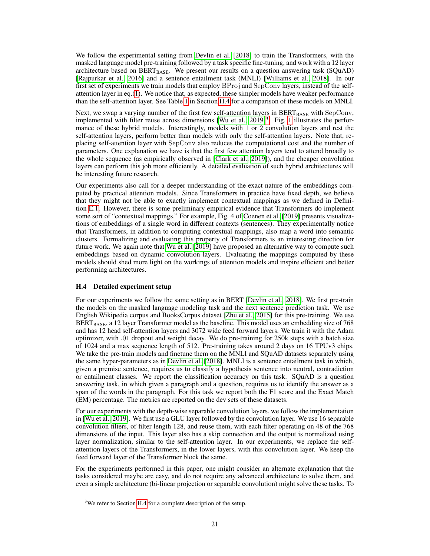We follow the experimental setting from [Devlin et al.](#page-4-0) [\[2018\]](#page-4-0) to train the Transformers, with the masked language model pre-training followed by a task specific fine-tuning, and work with a 12 layer architecture based on BERT<sub>BASE</sub>. We present our results on a question answering task (SQuAD) [\[Rajpurkar et al., 2016\]](#page-5-8) and a sentence entailment task (MNLI) [\[Williams et al., 2018\]](#page-5-9). In our first set of experiments we train models that employ BProj and SepConv layers, instead of the selfattention layer in eq.[\(1\)](#page-2-1). We notice that, as expected, these simpler models have weaker performance than the self-attention layer. See Table [1](#page-21-0) in Section [H.4](#page-20-0) for a comparison of these models on MNLI.

Next, we swap a varying number of the first few self-attention layers in  $BERT_{BASE}$  with  $SepConv$ , implemented with filter reuse across dimensions [Wu et al.,  $2019]$ <sup>[3](#page-20-1)</sup>. Fig. [1](#page-19-1) illustrates the performance of these hybrid models. Interestingly, models with 1 or 2 convolution layers and rest the self-attention layers, perform better than models with only the self-attention layers. Note that, replacing self-attention layer with SepConv also reduces the computational cost and the number of parameters. One explanation we have is that the first few attention layers tend to attend broadly to the whole sequence (as empirically observed in [\[Clark et al., 2019\]](#page-4-4)), and the cheaper convolution layers can perform this job more efficiently. A detailed evaluation of such hybrid architectures will be interesting future research.

Our experiments also call for a deeper understanding of the exact nature of the embeddings computed by practical attention models. Since Transformers in practice have fixed depth, we believe that they might not be able to exactly implement contextual mappings as we defined in Definition [E.1.](#page-8-2) However, there is some preliminary empirical evidence that Transformers do implement some sort of "contextual mappings." For example, Fig. 4 of [Coenen et al.](#page-4-5) [\[2019\]](#page-4-5) presents visualizations of embeddings of a single word in different contexts (sentences). They experimentally notice that Transformers, in addition to computing contextual mappings, also map a word into semantic clusters. Formalizing and evaluating this property of Transformers is an interesting direction for future work. We again note that [Wu et al.](#page-5-7) [\[2019\]](#page-5-7) have proposed an alternative way to compute such embeddings based on dynamic convolution layers. Evaluating the mappings computed by these models should shed more light on the workings of attention models and inspire efficient and better performing architectures.

## <span id="page-20-0"></span>H.4 Detailed experiment setup

For our experiments we follow the same setting as in BERT [\[Devlin et al., 2018\]](#page-4-0). We first pre-train the models on the masked language modeling task and the next sentence prediction task. We use English Wikipedia corpus and BooksCorpus dataset [\[Zhu et al., 2015\]](#page-5-10) for this pre-training. We use BERT<sub>BASE</sub>, a 12 layer Transformer model as the baseline. This model uses an embedding size of 768 and has 12 head self-attention layers and 3072 wide feed forward layers. We train it with the Adam optimizer, with .01 dropout and weight decay. We do pre-training for 250k steps with a batch size of 1024 and a max sequence length of 512. Pre-training takes around 2 days on 16 TPUv3 chips. We take the pre-train models and finetune them on the MNLI and SQuAD datasets separately using the same hyper-parameters as in [Devlin et al.](#page-4-0) [\[2018\]](#page-4-0). MNLI is a sentence entailment task in which, given a premise sentence, requires us to classify a hypothesis sentence into neutral, contradiction or entailment classes. We report the classification accuracy on this task. SQuAD is a question answering task, in which given a paragraph and a question, requires us to identify the answer as a span of the words in the paragraph. For this task we report both the F1 score and the Exact Match (EM) percentage. The metrics are reported on the dev sets of these datasets.

For our experiments with the depth-wise separable convolution layers, we follow the implementation in [\[Wu et al., 2019\]](#page-5-7). We first use a GLU layer followed by the convolution layer. We use 16 separable convolution filters, of filter length 128, and reuse them, with each filter operating on 48 of the 768 dimensions of the input. This layer also has a skip connection and the output is normalized using layer normalization, similar to the self-attention layer. In our experiments, we replace the selfattention layers of the Transformers, in the lower layers, with this convolution layer. We keep the feed forward layer of the Transformer block the same.

For the experiments performed in this paper, one might consider an alternate explanation that the tasks considered maybe are easy, and do not require any advanced architecture to solve them, and even a simple architecture (bi-linear projection or separable convolution) might solve these tasks. To

<span id="page-20-1"></span><sup>&</sup>lt;sup>3</sup>We refer to Section [H.4](#page-20-0) for a complete description of the setup.